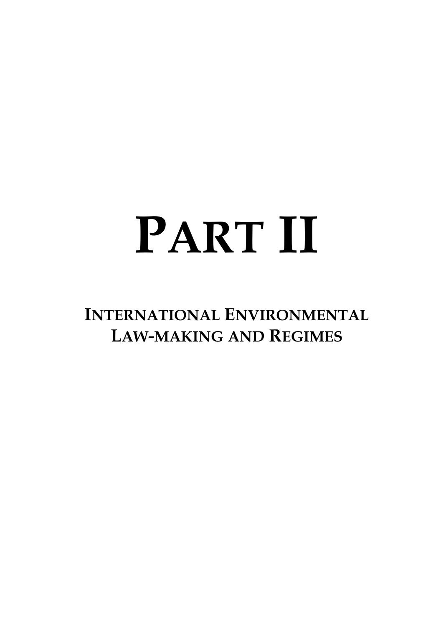# **PART II**

**INTERNATIONAL ENVIRONMENTAL LAW-MAKING AND REGIMES**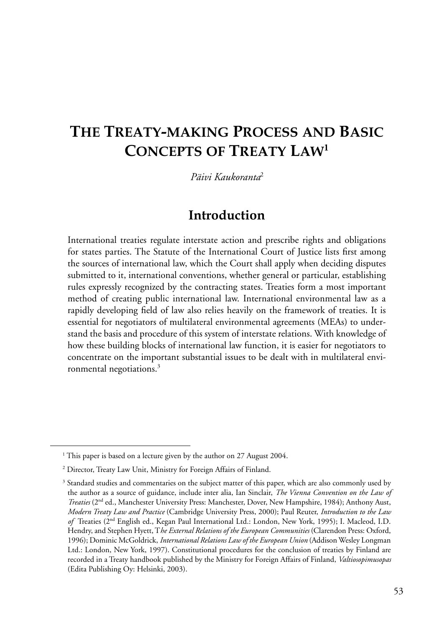# **THE TREATY-MAKING PROCESS AND BASIC CONCEPTS OF TREATY LAW<sup>1</sup>**

*Päivi Kaukoranta*<sup>2</sup>

#### **Introduction**

International treaties regulate interstate action and prescribe rights and obligations for states parties. The Statute of the International Court of Justice lists first among the sources of international law, which the Court shall apply when deciding disputes submitted to it, international conventions, whether general or particular, establishing rules expressly recognized by the contracting states. Treaties form a most important method of creating public international law. International environmental law as a rapidly developing field of law also relies heavily on the framework of treaties. It is essential for negotiators of multilateral environmental agreements (MEAs) to understand the basis and procedure of this system of interstate relations. With knowledge of how these building blocks of international law function, it is easier for negotiators to concentrate on the important substantial issues to be dealt with in multilateral environmental negotiations.3

<sup>&</sup>lt;sup>1</sup> This paper is based on a lecture given by the author on 27 August 2004.

<sup>&</sup>lt;sup>2</sup> Director, Treaty Law Unit, Ministry for Foreign Affairs of Finland.

<sup>&</sup>lt;sup>3</sup> Standard studies and commentaries on the subject matter of this paper, which are also commonly used by the author as a source of guidance, include inter alia, Ian Sinclair, *The Vienna Convention on the Law of Treaties* (2nd ed., Manchester University Press: Manchester, Dover, New Hampshire, 1984); Anthony Aust, *Modern Treaty Law and Practice* (Cambridge University Press, 2000); Paul Reuter, *Introduction to the Law of* Treaties (2nd English ed., Kegan Paul International Ltd.: London, New York, 1995); I. Macleod, I.D. Hendry, and Stephen Hyett, T*he External Relations of the European Communities* (Clarendon Press: Oxford, 1996); Dominic McGoldrick, *International Relations Law of the European Union* (Addison Wesley Longman Ltd.: London, New York, 1997). Constitutional procedures for the conclusion of treaties by Finland are recorded in a Treaty handbook published by the Ministry for Foreign Affairs of Finland, *Valtiosopimusopas* (Edita Publishing Oy: Helsinki, 2003).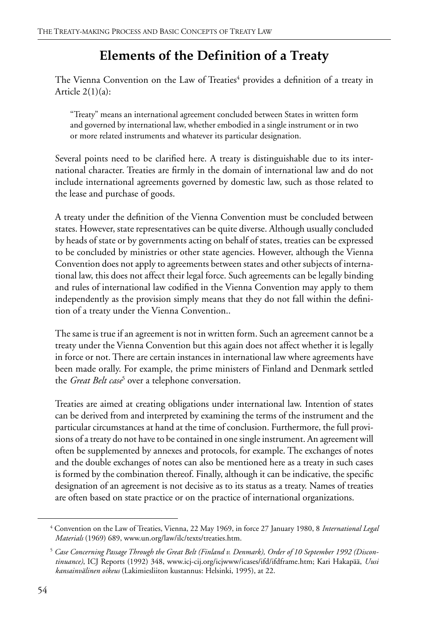# **Elements of the Definition of a Treaty**

The Vienna Convention on the Law of Treaties<sup>4</sup> provides a definition of a treaty in Article  $2(1)(a)$ :

"Treaty" means an international agreement concluded between States in written form and governed by international law, whether embodied in a single instrument or in two or more related instruments and whatever its particular designation.

Several points need to be clarified here. A treaty is distinguishable due to its international character. Treaties are firmly in the domain of international law and do not include international agreements governed by domestic law, such as those related to the lease and purchase of goods.

A treaty under the definition of the Vienna Convention must be concluded between states. However, state representatives can be quite diverse. Although usually concluded by heads of state or by governments acting on behalf of states, treaties can be expressed to be concluded by ministries or other state agencies. However, although the Vienna Convention does not apply to agreements between states and other subjects of international law, this does not affect their legal force. Such agreements can be legally binding and rules of international law codified in the Vienna Convention may apply to them independently as the provision simply means that they do not fall within the definition of a treaty under the Vienna Convention..

The same is true if an agreement is not in written form. Such an agreement cannot be a treaty under the Vienna Convention but this again does not affect whether it is legally in force or not. There are certain instances in international law where agreements have been made orally. For example, the prime ministers of Finland and Denmark settled the *Great Belt case*<sup>5</sup> over a telephone conversation.

Treaties are aimed at creating obligations under international law. Intention of states can be derived from and interpreted by examining the terms of the instrument and the particular circumstances at hand at the time of conclusion. Furthermore, the full provisions of a treaty do not have to be contained in one single instrument. An agreement will often be supplemented by annexes and protocols, for example. The exchanges of notes and the double exchanges of notes can also be mentioned here as a treaty in such cases is formed by the combination thereof. Finally, although it can be indicative, the specific designation of an agreement is not decisive as to its status as a treaty. Names of treaties are often based on state practice or on the practice of international organizations.

<sup>4</sup> Convention on the Law of Treaties, Vienna, 22 May 1969, in force 27 January 1980, 8 *International Legal Materials* (1969) 689, www.un.org/law/ilc/texts/treaties.htm.

<sup>5</sup> *Case Concerning Passage Through the Great Belt (Finland v. Denmark), Order of 10 September 1992 (Discontinuance)*, ICJ Reports (1992) 348, www.icj-cij.org/icjwww/icases/ifd/ifdframe.htm; Kari Hakapää, *Uusi kansainvälinen oikeus* (Lakimiesliiton kustannus: Helsinki, 1995), at 22.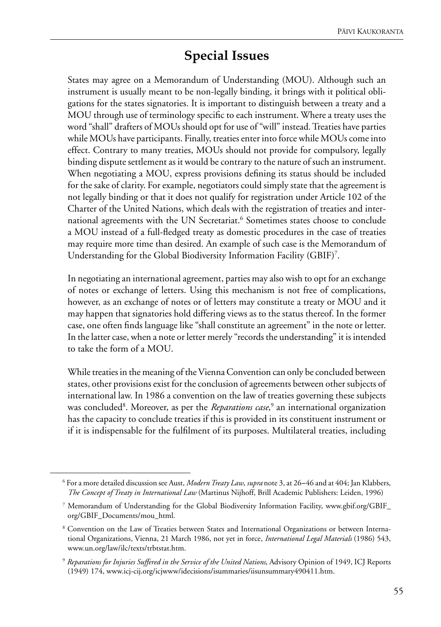## **Special Issues**

States may agree on a Memorandum of Understanding (MOU). Although such an instrument is usually meant to be non-legally binding, it brings with it political obligations for the states signatories. It is important to distinguish between a treaty and a MOU through use of terminology specific to each instrument. Where a treaty uses the word "shall" drafters of MOUs should opt for use of "will" instead. Treaties have parties while MOUs have participants. Finally, treaties enter into force while MOUs come into effect. Contrary to many treaties, MOUs should not provide for compulsory, legally binding dispute settlement as it would be contrary to the nature of such an instrument. When negotiating a MOU, express provisions defining its status should be included for the sake of clarity. For example, negotiators could simply state that the agreement is not legally binding or that it does not qualify for registration under Article 102 of the Charter of the United Nations, which deals with the registration of treaties and international agreements with the UN Secretariat.<sup>6</sup> Sometimes states choose to conclude a MOU instead of a full-fledged treaty as domestic procedures in the case of treaties may require more time than desired. An example of such case is the Memorandum of Understanding for the Global Biodiversity Information Facility (GBIF)<sup>7</sup>.

In negotiating an international agreement, parties may also wish to opt for an exchange of notes or exchange of letters. Using this mechanism is not free of complications, however, as an exchange of notes or of letters may constitute a treaty or MOU and it may happen that signatories hold differing views as to the status thereof. In the former case, one often finds language like "shall constitute an agreement" in the note or letter. In the latter case, when a note or letter merely "records the understanding" it is intended to take the form of a MOU.

While treaties in the meaning of the Vienna Convention can only be concluded between states, other provisions exist for the conclusion of agreements between other subjects of international law. In 1986 a convention on the law of treaties governing these subjects was concluded<sup>8</sup>. Moreover, as per the *Reparations case*,<sup>9</sup> an international organization has the capacity to conclude treaties if this is provided in its constituent instrument or if it is indispensable for the fulfilment of its purposes. Multilateral treaties, including

<sup>6</sup> For a more detailed discussion see Aust, *Modern Treaty Law*, *supra* note 3, at 26−46 and at 404; Jan Klabbers, *The Concept of Treaty in International Law* (Martinus Nijhoff, Brill Academic Publishers: Leiden, 1996)

<sup>7</sup> Memorandum of Understanding for the Global Biodiversity Information Facility, www.gbif.org/GBIF\_ org/GBIF\_Documents/mou\_html.

<sup>8</sup> Convention on the Law of Treaties between States and International Organizations or between International Organizations*,* Vienna, 21 March 1986, not yet in force, *International Legal Materials* (1986) 543, www.un.org/law/ilc/texts/trbtstat.htm.

<sup>9</sup> *Reparations for Injuries Suffered in the Service of the United Nations*, Advisory Opinion of 1949, ICJ Reports (1949) 174, www.icj-cij.org/icjwww/idecisions/isummaries/iisunsummary490411.htm.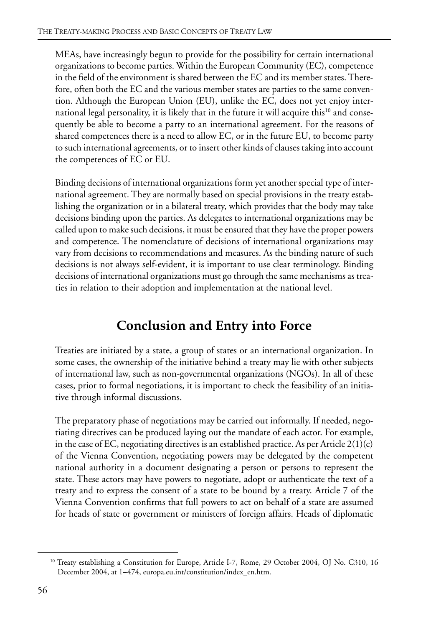MEAs, have increasingly begun to provide for the possibility for certain international organizations to become parties. Within the European Community (EC), competence in the field of the environment is shared between the EC and its member states. Therefore, often both the EC and the various member states are parties to the same convention. Although the European Union (EU), unlike the EC, does not yet enjoy international legal personality, it is likely that in the future it will acquire this<sup>10</sup> and consequently be able to become a party to an international agreement. For the reasons of shared competences there is a need to allow EC, or in the future EU, to become party to such international agreements, or to insert other kinds of clauses taking into account the competences of EC or EU.

Binding decisions of international organizations form yet another special type of international agreement. They are normally based on special provisions in the treaty establishing the organization or in a bilateral treaty, which provides that the body may take decisions binding upon the parties. As delegates to international organizations may be called upon to make such decisions, it must be ensured that they have the proper powers and competence. The nomenclature of decisions of international organizations may vary from decisions to recommendations and measures. As the binding nature of such decisions is not always self-evident, it is important to use clear terminology. Binding decisions of international organizations must go through the same mechanisms as treaties in relation to their adoption and implementation at the national level.

# **Conclusion and Entry into Force**

Treaties are initiated by a state, a group of states or an international organization. In some cases, the ownership of the initiative behind a treaty may lie with other subjects of international law, such as non-governmental organizations (NGOs). In all of these cases, prior to formal negotiations, it is important to check the feasibility of an initiative through informal discussions.

The preparatory phase of negotiations may be carried out informally. If needed, negotiating directives can be produced laying out the mandate of each actor. For example, in the case of EC, negotiating directives is an established practice. As per Article  $2(1)(c)$ of the Vienna Convention, negotiating powers may be delegated by the competent national authority in a document designating a person or persons to represent the state. These actors may have powers to negotiate, adopt or authenticate the text of a treaty and to express the consent of a state to be bound by a treaty. Article 7 of the Vienna Convention confirms that full powers to act on behalf of a state are assumed for heads of state or government or ministers of foreign affairs. Heads of diplomatic

<sup>&</sup>lt;sup>10</sup> Treaty establishing a Constitution for Europe, Article I-7, Rome, 29 October 2004, OJ No. C310, 16 December 2004, at 1−474, europa.eu.int/constitution/index\_en.htm.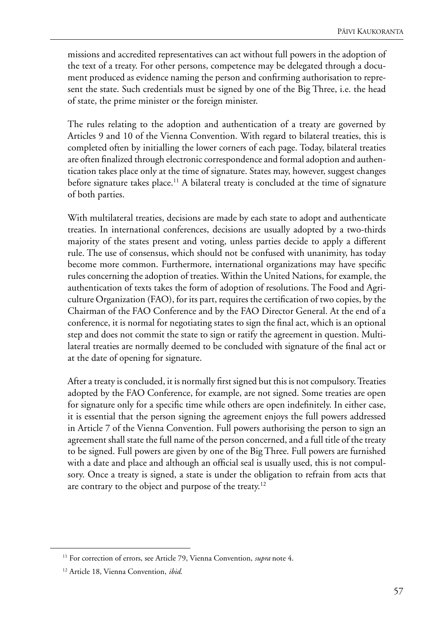missions and accredited representatives can act without full powers in the adoption of the text of a treaty. For other persons, competence may be delegated through a document produced as evidence naming the person and confirming authorisation to represent the state. Such credentials must be signed by one of the Big Three, i.e. the head of state, the prime minister or the foreign minister.

The rules relating to the adoption and authentication of a treaty are governed by Articles 9 and 10 of the Vienna Convention. With regard to bilateral treaties, this is completed often by initialling the lower corners of each page. Today, bilateral treaties are often finalized through electronic correspondence and formal adoption and authentication takes place only at the time of signature. States may, however, suggest changes before signature takes place.<sup>11</sup> A bilateral treaty is concluded at the time of signature of both parties.

With multilateral treaties, decisions are made by each state to adopt and authenticate treaties. In international conferences, decisions are usually adopted by a two-thirds majority of the states present and voting, unless parties decide to apply a different rule. The use of consensus, which should not be confused with unanimity, has today become more common. Furthermore, international organizations may have specific rules concerning the adoption of treaties. Within the United Nations, for example, the authentication of texts takes the form of adoption of resolutions. The Food and Agriculture Organization (FAO), for its part, requires the certification of two copies, by the Chairman of the FAO Conference and by the FAO Director General. At the end of a conference, it is normal for negotiating states to sign the final act, which is an optional step and does not commit the state to sign or ratify the agreement in question. Multilateral treaties are normally deemed to be concluded with signature of the final act or at the date of opening for signature.

After a treaty is concluded, it is normally first signed but this is not compulsory. Treaties adopted by the FAO Conference, for example, are not signed. Some treaties are open for signature only for a specific time while others are open indefinitely. In either case, it is essential that the person signing the agreement enjoys the full powers addressed in Article 7 of the Vienna Convention. Full powers authorising the person to sign an agreement shall state the full name of the person concerned, and a full title of the treaty to be signed. Full powers are given by one of the Big Three. Full powers are furnished with a date and place and although an official seal is usually used, this is not compulsory. Once a treaty is signed, a state is under the obligation to refrain from acts that are contrary to the object and purpose of the treaty.<sup>12</sup>

<sup>&</sup>lt;sup>11</sup> For correction of errors, see Article 79, Vienna Convention, *supra* note 4.

<sup>12</sup> Article 18, Vienna Convention, *ibid*.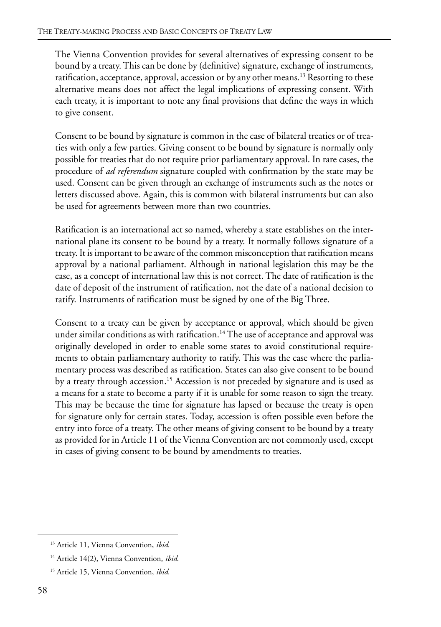The Vienna Convention provides for several alternatives of expressing consent to be bound by a treaty. This can be done by (definitive) signature, exchange of instruments, ratification, acceptance, approval, accession or by any other means.<sup>13</sup> Resorting to these alternative means does not affect the legal implications of expressing consent. With each treaty, it is important to note any final provisions that define the ways in which to give consent.

Consent to be bound by signature is common in the case of bilateral treaties or of treaties with only a few parties. Giving consent to be bound by signature is normally only possible for treaties that do not require prior parliamentary approval. In rare cases, the procedure of *ad referendum* signature coupled with confirmation by the state may be used. Consent can be given through an exchange of instruments such as the notes or letters discussed above. Again, this is common with bilateral instruments but can also be used for agreements between more than two countries.

Ratification is an international act so named, whereby a state establishes on the international plane its consent to be bound by a treaty. It normally follows signature of a treaty. It is important to be aware of the common misconception that ratification means approval by a national parliament. Although in national legislation this may be the case, as a concept of international law this is not correct. The date of ratification is the date of deposit of the instrument of ratification, not the date of a national decision to ratify. Instruments of ratification must be signed by one of the Big Three.

Consent to a treaty can be given by acceptance or approval, which should be given under similar conditions as with ratification.<sup>14</sup> The use of acceptance and approval was originally developed in order to enable some states to avoid constitutional requirements to obtain parliamentary authority to ratify. This was the case where the parliamentary process was described as ratification. States can also give consent to be bound by a treaty through accession.<sup>15</sup> Accession is not preceded by signature and is used as a means for a state to become a party if it is unable for some reason to sign the treaty. This may be because the time for signature has lapsed or because the treaty is open for signature only for certain states. Today, accession is often possible even before the entry into force of a treaty. The other means of giving consent to be bound by a treaty as provided for in Article 11 of the Vienna Convention are not commonly used, except in cases of giving consent to be bound by amendments to treaties.

<sup>13</sup> Article 11, Vienna Convention, *ibid*.

<sup>14</sup> Article 14(2), Vienna Convention, *ibid*.

<sup>15</sup> Article 15, Vienna Convention, *ibid*.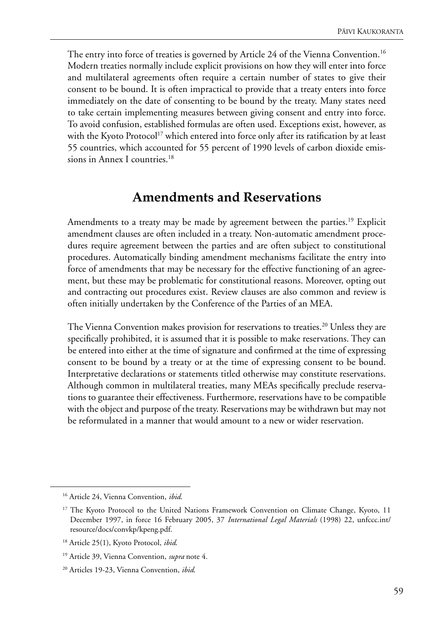The entry into force of treaties is governed by Article 24 of the Vienna Convention.<sup>16</sup> Modern treaties normally include explicit provisions on how they will enter into force and multilateral agreements often require a certain number of states to give their consent to be bound. It is often impractical to provide that a treaty enters into force immediately on the date of consenting to be bound by the treaty. Many states need to take certain implementing measures between giving consent and entry into force. To avoid confusion, established formulas are often used. Exceptions exist, however, as with the Kyoto Protocol<sup>17</sup> which entered into force only after its ratification by at least 55 countries, which accounted for 55 percent of 1990 levels of carbon dioxide emissions in Annex I countries.<sup>18</sup>

#### **Amendments and Reservations**

Amendments to a treaty may be made by agreement between the parties.<sup>19</sup> Explicit amendment clauses are often included in a treaty. Non-automatic amendment procedures require agreement between the parties and are often subject to constitutional procedures. Automatically binding amendment mechanisms facilitate the entry into force of amendments that may be necessary for the effective functioning of an agreement, but these may be problematic for constitutional reasons. Moreover, opting out and contracting out procedures exist. Review clauses are also common and review is often initially undertaken by the Conference of the Parties of an MEA.

The Vienna Convention makes provision for reservations to treaties.<sup>20</sup> Unless they are specifically prohibited, it is assumed that it is possible to make reservations. They can be entered into either at the time of signature and confirmed at the time of expressing consent to be bound by a treaty or at the time of expressing consent to be bound. Interpretative declarations or statements titled otherwise may constitute reservations. Although common in multilateral treaties, many MEAs specifically preclude reservations to guarantee their effectiveness. Furthermore, reservations have to be compatible with the object and purpose of the treaty. Reservations may be withdrawn but may not be reformulated in a manner that would amount to a new or wider reservation.

<sup>16</sup> Article 24, Vienna Convention, *ibid*.

<sup>&</sup>lt;sup>17</sup> The Kyoto Protocol to the United Nations Framework Convention on Climate Change, Kyoto, 11 December 1997, in force 16 February 2005, 37 *International Legal Materials* (1998) 22, unfccc.int/ resource/docs/convkp/kpeng.pdf.

<sup>18</sup> Article 25(1), Kyoto Protocol, *ibid*.

<sup>19</sup> Article 39, Vienna Convention, *supra* note 4.

<sup>20</sup> Articles 19-23, Vienna Convention, *ibid*.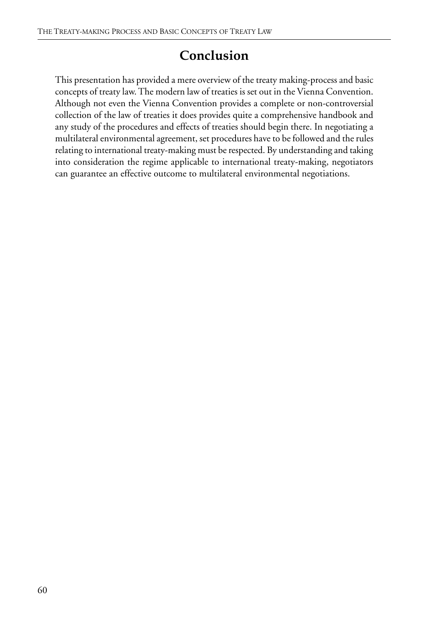## **Conclusion**

This presentation has provided a mere overview of the treaty making-process and basic concepts of treaty law. The modern law of treaties is set out in the Vienna Convention. Although not even the Vienna Convention provides a complete or non-controversial collection of the law of treaties it does provides quite a comprehensive handbook and any study of the procedures and effects of treaties should begin there. In negotiating a multilateral environmental agreement, set procedures have to be followed and the rules relating to international treaty-making must be respected. By understanding and taking into consideration the regime applicable to international treaty-making, negotiators can guarantee an effective outcome to multilateral environmental negotiations.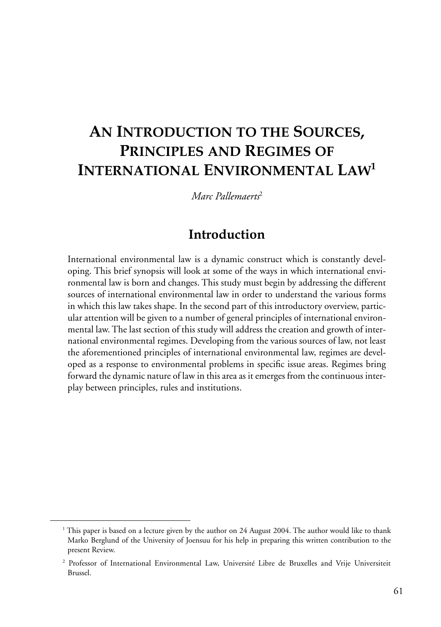# **AN INTRODUCTION TO THE SOURCES, PRINCIPLES AND REGIMES OF INTERNATIONAL ENVIRONMENTAL LAW1**

*Marc Pallemaerts*<sup>2</sup>

## **Introduction**

International environmental law is a dynamic construct which is constantly developing. This brief synopsis will look at some of the ways in which international environmental law is born and changes. This study must begin by addressing the different sources of international environmental law in order to understand the various forms in which this law takes shape. In the second part of this introductory overview, particular attention will be given to a number of general principles of international environmental law. The last section of this study will address the creation and growth of international environmental regimes. Developing from the various sources of law, not least the aforementioned principles of international environmental law, regimes are developed as a response to environmental problems in specific issue areas. Regimes bring forward the dynamic nature of law in this area as it emerges from the continuous interplay between principles, rules and institutions.

<sup>&</sup>lt;sup>1</sup> This paper is based on a lecture given by the author on 24 August 2004. The author would like to thank Marko Berglund of the University of Joensuu for his help in preparing this written contribution to the present Review.

<sup>2</sup> Professor of International Environmental Law, Université Libre de Bruxelles and Vrije Universiteit Brussel.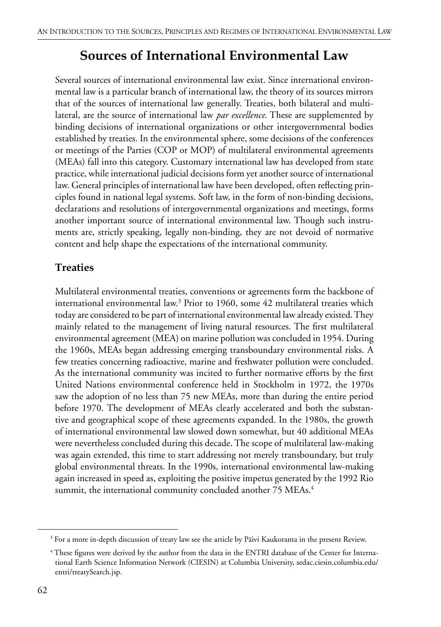## **Sources of International Environmental Law**

Several sources of international environmental law exist. Since international environmental law is a particular branch of international law, the theory of its sources mirrors that of the sources of international law generally. Treaties, both bilateral and multilateral, are the source of international law *par excellence*. These are supplemented by binding decisions of international organizations or other intergovernmental bodies established by treaties. In the environmental sphere, some decisions of the conferences or meetings of the Parties (COP or MOP) of multilateral environmental agreements (MEAs) fall into this category. Customary international law has developed from state practice, while international judicial decisions form yet another source of international law. General principles of international law have been developed, often reflecting principles found in national legal systems. Soft law, in the form of non-binding decisions, declarations and resolutions of intergovernmental organizations and meetings, forms another important source of international environmental law. Though such instruments are, strictly speaking, legally non-binding, they are not devoid of normative content and help shape the expectations of the international community.

#### **Treaties**

Multilateral environmental treaties, conventions or agreements form the backbone of international environmental law.<sup>3</sup> Prior to 1960, some 42 multilateral treaties which today are considered to be part of international environmental law already existed. They mainly related to the management of living natural resources. The first multilateral environmental agreement (MEA) on marine pollution was concluded in 1954. During the 1960s, MEAs began addressing emerging transboundary environmental risks. A few treaties concerning radioactive, marine and freshwater pollution were concluded. As the international community was incited to further normative efforts by the first United Nations environmental conference held in Stockholm in 1972, the 1970s saw the adoption of no less than 75 new MEAs, more than during the entire period before 1970. The development of MEAs clearly accelerated and both the substantive and geographical scope of these agreements expanded. In the 1980s, the growth of international environmental law slowed down somewhat, but 40 additional MEAs were nevertheless concluded during this decade. The scope of multilateral law-making was again extended, this time to start addressing not merely transboundary, but truly global environmental threats. In the 1990s, international environmental law-making again increased in speed as, exploiting the positive impetus generated by the 1992 Rio summit, the international community concluded another 75 MEAs.<sup>4</sup>

 $^3$  For a more in-depth discussion of treaty law see the article by Päivi Kaukoranta in the present Review.

<sup>4</sup> These figures were derived by the author from the data in the ENTRI database of the Center for International Earth Science Information Network (CIESIN) at Columbia University, sedac.ciesin.columbia.edu/ entri/treatySearch.jsp.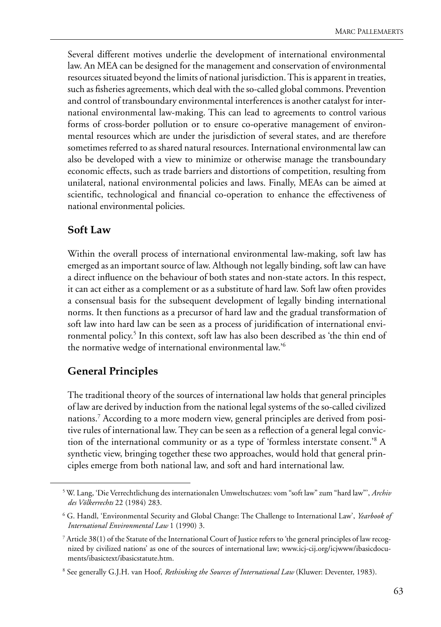Several different motives underlie the development of international environmental law. An MEA can be designed for the management and conservation of environmental resources situated beyond the limits of national jurisdiction. This is apparent in treaties, such as fisheries agreements, which deal with the so-called global commons. Prevention and control of transboundary environmental interferences is another catalyst for international environmental law-making. This can lead to agreements to control various forms of cross-border pollution or to ensure co-operative management of environmental resources which are under the jurisdiction of several states, and are therefore sometimes referred to as shared natural resources. International environmental law can also be developed with a view to minimize or otherwise manage the transboundary economic effects, such as trade barriers and distortions of competition, resulting from unilateral, national environmental policies and laws. Finally, MEAs can be aimed at scientific, technological and financial co-operation to enhance the effectiveness of national environmental policies.

#### **Soft Law**

Within the overall process of international environmental law-making, soft law has emerged as an important source of law. Although not legally binding, soft law can have a direct influence on the behaviour of both states and non-state actors. In this respect, it can act either as a complement or as a substitute of hard law. Soft law often provides a consensual basis for the subsequent development of legally binding international norms. It then functions as a precursor of hard law and the gradual transformation of soft law into hard law can be seen as a process of juridification of international environmental policy.<sup>5</sup> In this context, soft law has also been described as 'the thin end of the normative wedge of international environmental law.'6

#### **General Principles**

The traditional theory of the sources of international law holds that general principles of law are derived by induction from the national legal systems of the so-called civilized nations.7 According to a more modern view, general principles are derived from positive rules of international law. They can be seen as a reflection of a general legal conviction of the international community or as a type of 'formless interstate consent.'8 A synthetic view, bringing together these two approaches, would hold that general principles emerge from both national law, and soft and hard international law.

<sup>5</sup> W. Lang, 'Die Verrechtlichung des internationalen Umweltschutzes: vom "soft law" zum "hard law"', *Archiv des Völkerrechts* 22 (1984) 283.

<sup>6</sup> G. Handl, 'Environmental Security and Global Change: The Challenge to International Law', *Yearbook of International Environmental Law* 1 (1990) 3.

<sup>7</sup> Article 38(1) of the Statute of the International Court of Justice refers to 'the general principles of law recognized by civilized nations' as one of the sources of international law; www.icj-cij.org/icjwww/ibasicdocuments/ibasictext/ibasicstatute.htm.

<sup>8</sup> See generally G.J.H. van Hoof, *Rethinking the Sources of International Law* (Kluwer: Deventer, 1983).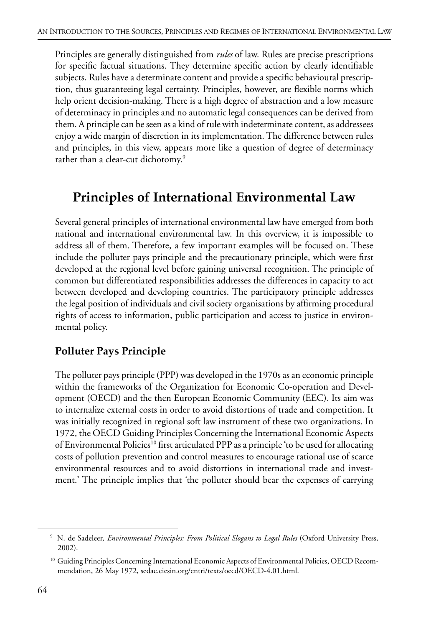Principles are generally distinguished from *rules* of law. Rules are precise prescriptions for specific factual situations. They determine specific action by clearly identifiable subjects. Rules have a determinate content and provide a specific behavioural prescription, thus guaranteeing legal certainty. Principles, however, are flexible norms which help orient decision-making. There is a high degree of abstraction and a low measure of determinacy in principles and no automatic legal consequences can be derived from them. A principle can be seen as a kind of rule with indeterminate content, as addressees enjoy a wide margin of discretion in its implementation. The difference between rules and principles, in this view, appears more like a question of degree of determinacy rather than a clear-cut dichotomy.<sup>9</sup>

## **Principles of International Environmental Law**

Several general principles of international environmental law have emerged from both national and international environmental law. In this overview, it is impossible to address all of them. Therefore, a few important examples will be focused on. These include the polluter pays principle and the precautionary principle, which were first developed at the regional level before gaining universal recognition. The principle of common but differentiated responsibilities addresses the differences in capacity to act between developed and developing countries. The participatory principle addresses the legal position of individuals and civil society organisations by affirming procedural rights of access to information, public participation and access to justice in environmental policy.

#### **Polluter Pays Principle**

The polluter pays principle (PPP) was developed in the 1970s as an economic principle within the frameworks of the Organization for Economic Co-operation and Development (OECD) and the then European Economic Community (EEC). Its aim was to internalize external costs in order to avoid distortions of trade and competition. It was initially recognized in regional soft law instrument of these two organizations. In 1972, the OECD Guiding Principles Concerning the International Economic Aspects of Environmental Policies<sup>10</sup> first articulated PPP as a principle 'to be used for allocating costs of pollution prevention and control measures to encourage rational use of scarce environmental resources and to avoid distortions in international trade and investment.' The principle implies that 'the polluter should bear the expenses of carrying

<sup>9</sup> N. de Sadeleer, *Environmental Principles: From Political Slogans to Legal Rules* (Oxford University Press, 2002).

<sup>&</sup>lt;sup>10</sup> Guiding Principles Concerning International Economic Aspects of Environmental Policies, OECD Recommendation, 26 May 1972, sedac.ciesin.org/entri/texts/oecd/OECD-4.01.html.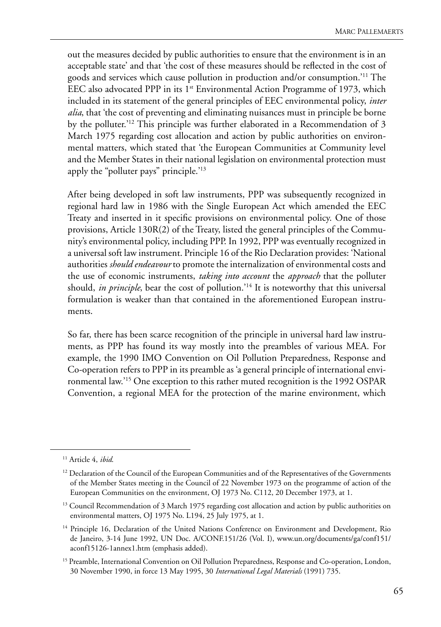out the measures decided by public authorities to ensure that the environment is in an acceptable state' and that 'the cost of these measures should be reflected in the cost of goods and services which cause pollution in production and/or consumption.'11 The EEC also advocated PPP in its  $1<sup>st</sup>$  Environmental Action Programme of 1973, which included in its statement of the general principles of EEC environmental policy, *inter alia*, that 'the cost of preventing and eliminating nuisances must in principle be borne by the polluter.'12 This principle was further elaborated in a Recommendation of 3 March 1975 regarding cost allocation and action by public authorities on environmental matters, which stated that 'the European Communities at Community level and the Member States in their national legislation on environmental protection must apply the "polluter pays" principle.'13

After being developed in soft law instruments, PPP was subsequently recognized in regional hard law in 1986 with the Single European Act which amended the EEC Treaty and inserted in it specific provisions on environmental policy. One of those provisions, Article 130R(2) of the Treaty, listed the general principles of the Community's environmental policy, including PPP. In 1992, PPP was eventually recognized in a universal soft law instrument. Principle 16 of the Rio Declaration provides: 'National authorities *should endeavour* to promote the internalization of environmental costs and the use of economic instruments, *taking into account* the *approach* that the polluter should, *in principle*, bear the cost of pollution.<sup>'14</sup> It is noteworthy that this universal formulation is weaker than that contained in the aforementioned European instruments.

So far, there has been scarce recognition of the principle in universal hard law instruments, as PPP has found its way mostly into the preambles of various MEA. For example, the 1990 IMO Convention on Oil Pollution Preparedness, Response and Co-operation refers to PPP in its preamble as 'a general principle of international environmental law.'15 One exception to this rather muted recognition is the 1992 OSPAR Convention, a regional MEA for the protection of the marine environment, which

<sup>11</sup> Article 4, *ibid*.

<sup>&</sup>lt;sup>12</sup> Declaration of the Council of the European Communities and of the Representatives of the Governments of the Member States meeting in the Council of 22 November 1973 on the programme of action of the European Communities on the environment, OJ 1973 No. C112, 20 December 1973, at 1.

<sup>&</sup>lt;sup>13</sup> Council Recommendation of 3 March 1975 regarding cost allocation and action by public authorities on environmental matters, OJ 1975 No. L194, 25 July 1975, at 1.

<sup>&</sup>lt;sup>14</sup> Principle 16, Declaration of the United Nations Conference on Environment and Development, Rio de Janeiro, 3-14 June 1992, UN Doc. A/CONF.151/26 (Vol. I), www.un.org/documents/ga/conf151/ aconf15126-1annex1.htm (emphasis added).

<sup>&</sup>lt;sup>15</sup> Preamble, International Convention on Oil Pollution Preparedness, Response and Co-operation, London, 30 November 1990, in force 13 May 1995, 30 *International Legal Materials* (1991) 735.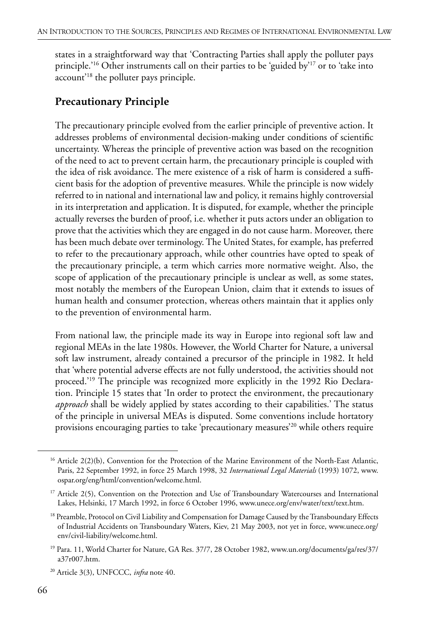states in a straightforward way that 'Contracting Parties shall apply the polluter pays principle.<sup>'16</sup> Other instruments call on their parties to be 'guided by<sup>'17</sup> or to 'take into account'18 the polluter pays principle.

#### **Precautionary Principle**

The precautionary principle evolved from the earlier principle of preventive action. It addresses problems of environmental decision-making under conditions of scientific uncertainty. Whereas the principle of preventive action was based on the recognition of the need to act to prevent certain harm, the precautionary principle is coupled with the idea of risk avoidance. The mere existence of a risk of harm is considered a sufficient basis for the adoption of preventive measures. While the principle is now widely referred to in national and international law and policy, it remains highly controversial in its interpretation and application. It is disputed, for example, whether the principle actually reverses the burden of proof, i.e. whether it puts actors under an obligation to prove that the activities which they are engaged in do not cause harm. Moreover, there has been much debate over terminology. The United States, for example, has preferred to refer to the precautionary approach, while other countries have opted to speak of the precautionary principle, a term which carries more normative weight. Also, the scope of application of the precautionary principle is unclear as well, as some states, most notably the members of the European Union, claim that it extends to issues of human health and consumer protection, whereas others maintain that it applies only to the prevention of environmental harm.

From national law, the principle made its way in Europe into regional soft law and regional MEAs in the late 1980s. However, the World Charter for Nature, a universal soft law instrument, already contained a precursor of the principle in 1982. It held that 'where potential adverse effects are not fully understood, the activities should not proceed.'<sup>19</sup> The principle was recognized more explicitly in the 1992 Rio Declaration. Principle 15 states that 'In order to protect the environment, the precautionary *approach* shall be widely applied by states according to their capabilities.' The status of the principle in universal MEAs is disputed. Some conventions include hortatory provisions encouraging parties to take 'precautionary measures'20 while others require

<sup>&</sup>lt;sup>16</sup> Article 2(2)(b), Convention for the Protection of the Marine Environment of the North-East Atlantic, Paris, 22 September 1992, in force 25 March 1998, 32 *International Legal Materials* (1993) 1072, www. ospar.org/eng/html/convention/welcome.html.

<sup>&</sup>lt;sup>17</sup> Article 2(5), Convention on the Protection and Use of Transboundary Watercourses and International Lakes, Helsinki, 17 March 1992, in force 6 October 1996, www.unece.org/env/water/text/text.htm.

<sup>&</sup>lt;sup>18</sup> Preamble, Protocol on Civil Liability and Compensation for Damage Caused by the Transboundary Effects of Industrial Accidents on Transboundary Waters, Kiev, 21 May 2003, not yet in force, www.unece.org/ env/civil-liability/welcome.html.

<sup>19</sup> Para. 11, World Charter for Nature, GA Res. 37/7, 28 October 1982, www.un.org/documents/ga/res/37/ a37r007.htm.

<sup>20</sup> Article 3(3), UNFCCC, *infra* note 40.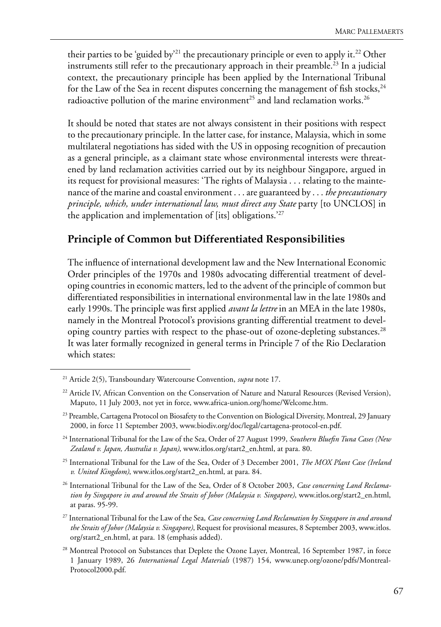their parties to be 'guided by<sup>21</sup> the precautionary principle or even to apply it.<sup>22</sup> Other instruments still refer to the precautionary approach in their preamble.<sup>23</sup> In a judicial context, the precautionary principle has been applied by the International Tribunal for the Law of the Sea in recent disputes concerning the management of fish stocks,  $24$ radioactive pollution of the marine environment<sup>25</sup> and land reclamation works.<sup>26</sup>

It should be noted that states are not always consistent in their positions with respect to the precautionary principle. In the latter case, for instance, Malaysia, which in some multilateral negotiations has sided with the US in opposing recognition of precaution as a general principle, as a claimant state whose environmental interests were threatened by land reclamation activities carried out by its neighbour Singapore, argued in its request for provisional measures: 'The rights of Malaysia . . . relating to the maintenance of the marine and coastal environment . . . are guaranteed by . . . *the precautionary principle, which, under international law, must direct any State* party [to UNCLOS] in the application and implementation of [its] obligations.'27

#### **Principle of Common but Differentiated Responsibilities**

The influence of international development law and the New International Economic Order principles of the 1970s and 1980s advocating differential treatment of developing countries in economic matters, led to the advent of the principle of common but differentiated responsibilities in international environmental law in the late 1980s and early 1990s. The principle was first applied *avant la lettre* in an MEA in the late 1980s, namely in the Montreal Protocol's provisions granting differential treatment to developing country parties with respect to the phase-out of ozone-depleting substances.<sup>28</sup> It was later formally recognized in general terms in Principle 7 of the Rio Declaration which states:

<sup>21</sup> Article 2(5), Transboundary Watercourse Convention, *supra* note 17.

<sup>&</sup>lt;sup>22</sup> Article IV, African Convention on the Conservation of Nature and Natural Resources (Revised Version), Maputo, 11 July 2003, not yet in force, www.africa-union.org/home/Welcome.htm.

<sup>&</sup>lt;sup>23</sup> Preamble, Cartagena Protocol on Biosafety to the Convention on Biological Diversity, Montreal, 29 January 2000, in force 11 September 2003, www.biodiv.org/doc/legal/cartagena-protocol-en.pdf.

<sup>24</sup> International Tribunal for the Law of the Sea, Order of 27 August 1999, *Southern Bluefin Tuna Cases (New Zealand v. Japan, Australia v. Japan)*, www.itlos.org/start2\_en.html, at para. 80.

<sup>25</sup> International Tribunal for the Law of the Sea, Order of 3 December 2001, *The MOX Plant Case (Ireland v. United Kingdom)*, www.itlos.org/start2\_en.html, at para. 84.

<sup>26</sup> International Tribunal for the Law of the Sea, Order of 8 October 2003, *Case concerning Land Reclamation by Singapore in and around the Straits of Johor (Malaysia v. Singapore)*, www.itlos.org/start2\_en.html, at paras. 95-99.

<sup>27</sup> International Tribunal for the Law of the Sea, *Case concerning Land Reclamation by Singapore in and around the Straits of Johor (Malaysia v. Singapore)*, Request for provisional measures, 8 September 2003, www.itlos. org/start2\_en.html, at para. 18 (emphasis added).

<sup>&</sup>lt;sup>28</sup> Montreal Protocol on Substances that Deplete the Ozone Layer, Montreal, 16 September 1987, in force 1 January 1989, 26 *International Legal Materials* (1987) 154, www.unep.org/ozone/pdfs/Montreal-Protocol2000.pdf.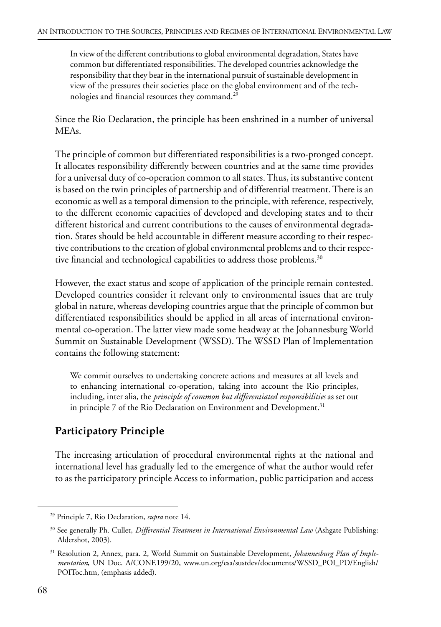In view of the different contributions to global environmental degradation, States have common but differentiated responsibilities. The developed countries acknowledge the responsibility that they bear in the international pursuit of sustainable development in view of the pressures their societies place on the global environment and of the technologies and financial resources they command.29

Since the Rio Declaration, the principle has been enshrined in a number of universal MEAs.

The principle of common but differentiated responsibilities is a two-pronged concept. It allocates responsibility differently between countries and at the same time provides for a universal duty of co-operation common to all states. Thus, its substantive content is based on the twin principles of partnership and of differential treatment. There is an economic as well as a temporal dimension to the principle, with reference, respectively, to the different economic capacities of developed and developing states and to their different historical and current contributions to the causes of environmental degradation. States should be held accountable in different measure according to their respective contributions to the creation of global environmental problems and to their respective financial and technological capabilities to address those problems.<sup>30</sup>

However, the exact status and scope of application of the principle remain contested. Developed countries consider it relevant only to environmental issues that are truly global in nature, whereas developing countries argue that the principle of common but differentiated responsibilities should be applied in all areas of international environmental co-operation. The latter view made some headway at the Johannesburg World Summit on Sustainable Development (WSSD). The WSSD Plan of Implementation contains the following statement:

We commit ourselves to undertaking concrete actions and measures at all levels and to enhancing international co-operation, taking into account the Rio principles, including, inter alia, the *principle of common but differentiated responsibilities* as set out in principle 7 of the Rio Declaration on Environment and Development.<sup>31</sup>

#### **Participatory Principle**

The increasing articulation of procedural environmental rights at the national and international level has gradually led to the emergence of what the author would refer to as the participatory principle Access to information, public participation and access

<sup>29</sup> Principle 7, Rio Declaration, *supra* note 14.

<sup>30</sup> See generally Ph. Cullet, *Differential Treatment in International Environmental Law* (Ashgate Publishing: Aldershot, 2003).

<sup>31</sup> Resolution 2, Annex, para. 2, World Summit on Sustainable Development, *Johannesburg Plan of Implementation*, UN Doc. A/CONF.199/20, www.un.org/esa/sustdev/documents/WSSD\_POI\_PD/English/ POIToc.htm, (emphasis added).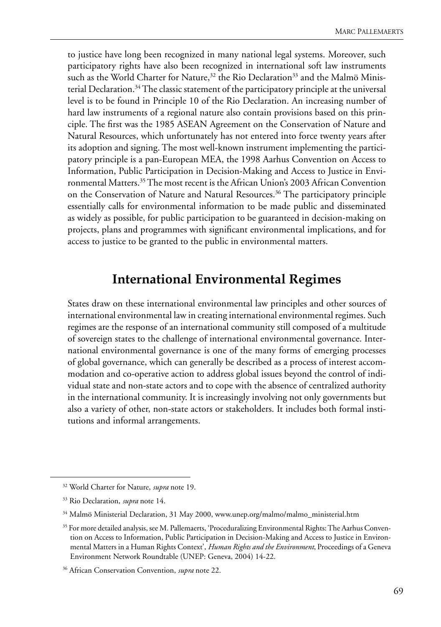to justice have long been recognized in many national legal systems. Moreover, such participatory rights have also been recognized in international soft law instruments such as the World Charter for Nature, $32$  the Rio Declaration<sup>33</sup> and the Malmö Ministerial Declaration.<sup>34</sup> The classic statement of the participatory principle at the universal level is to be found in Principle 10 of the Rio Declaration. An increasing number of hard law instruments of a regional nature also contain provisions based on this principle. The first was the 1985 ASEAN Agreement on the Conservation of Nature and Natural Resources, which unfortunately has not entered into force twenty years after its adoption and signing. The most well-known instrument implementing the participatory principle is a pan-European MEA, the 1998 Aarhus Convention on Access to Information, Public Participation in Decision-Making and Access to Justice in Environmental Matters.35 The most recent is the African Union's 2003 African Convention on the Conservation of Nature and Natural Resources.<sup>36</sup> The participatory principle essentially calls for environmental information to be made public and disseminated as widely as possible, for public participation to be guaranteed in decision-making on projects, plans and programmes with significant environmental implications, and for access to justice to be granted to the public in environmental matters.

## **International Environmental Regimes**

States draw on these international environmental law principles and other sources of international environmental law in creating international environmental regimes. Such regimes are the response of an international community still composed of a multitude of sovereign states to the challenge of international environmental governance. International environmental governance is one of the many forms of emerging processes of global governance, which can generally be described as a process of interest accommodation and co-operative action to address global issues beyond the control of individual state and non-state actors and to cope with the absence of centralized authority in the international community. It is increasingly involving not only governments but also a variety of other, non-state actors or stakeholders. It includes both formal institutions and informal arrangements.

<sup>32</sup> World Charter for Nature, *supra* note 19.

<sup>33</sup> Rio Declaration, *supra* note 14.

<sup>&</sup>lt;sup>34</sup> Malmö Ministerial Declaration, 31 May 2000, www.unep.org/malmo/malmo\_ministerial.htm

<sup>&</sup>lt;sup>35</sup> For more detailed analysis, see M. Pallemaerts, 'Proceduralizing Environmental Rights: The Aarhus Convention on Access to Information, Public Participation in Decision-Making and Access to Justice in Environmental Matters in a Human Rights Context', *Human Rights and the Environment*, Proceedings of a Geneva Environment Network Roundtable (UNEP: Geneva, 2004) 14-22.

<sup>36</sup> African Conservation Convention, *supra* note 22.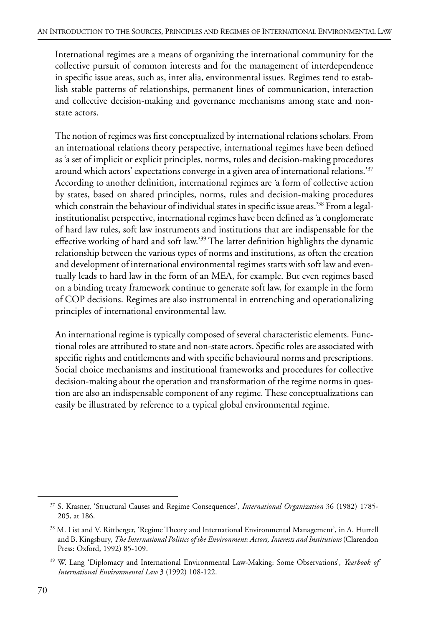International regimes are a means of organizing the international community for the collective pursuit of common interests and for the management of interdependence in specific issue areas, such as, inter alia, environmental issues. Regimes tend to establish stable patterns of relationships, permanent lines of communication, interaction and collective decision-making and governance mechanisms among state and nonstate actors.

The notion of regimes was first conceptualized by international relations scholars. From an international relations theory perspective, international regimes have been defined as 'a set of implicit or explicit principles, norms, rules and decision-making procedures around which actors' expectations converge in a given area of international relations.'37 According to another definition, international regimes are 'a form of collective action by states, based on shared principles, norms, rules and decision-making procedures which constrain the behaviour of individual states in specific issue areas.'<sup>38</sup> From a legalinstitutionalist perspective, international regimes have been defined as 'a conglomerate of hard law rules, soft law instruments and institutions that are indispensable for the effective working of hard and soft law.'39 The latter definition highlights the dynamic relationship between the various types of norms and institutions, as often the creation and development of international environmental regimes starts with soft law and eventually leads to hard law in the form of an MEA, for example. But even regimes based on a binding treaty framework continue to generate soft law, for example in the form of COP decisions. Regimes are also instrumental in entrenching and operationalizing principles of international environmental law.

An international regime is typically composed of several characteristic elements. Functional roles are attributed to state and non-state actors. Specific roles are associated with specific rights and entitlements and with specific behavioural norms and prescriptions. Social choice mechanisms and institutional frameworks and procedures for collective decision-making about the operation and transformation of the regime norms in question are also an indispensable component of any regime. These conceptualizations can easily be illustrated by reference to a typical global environmental regime.

<sup>37</sup> S. Krasner, 'Structural Causes and Regime Consequences', *International Organization* 36 (1982) 1785- 205, at 186.

<sup>38</sup> M. List and V. Rittberger, 'Regime Theory and International Environmental Management', in A. Hurrell and B. Kingsbury, *The International Politics of the Environment: Actors, Interests and Institutions* (Clarendon Press: Oxford, 1992) 85-109.

<sup>39</sup> W. Lang 'Diplomacy and International Environmental Law-Making: Some Observations', *Yearbook of International Environmental Law* 3 (1992) 108-122.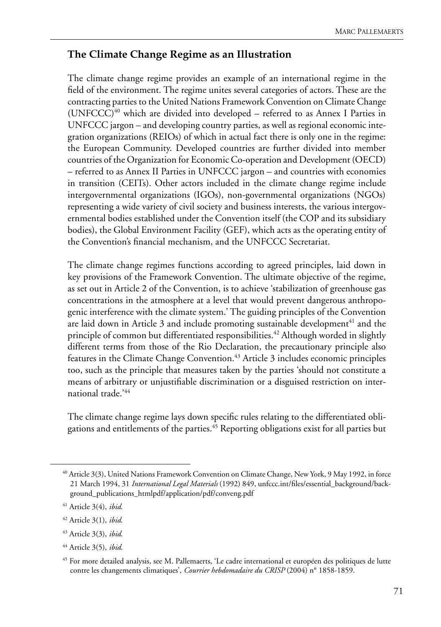#### **The Climate Change Regime as an Illustration**

The climate change regime provides an example of an international regime in the field of the environment. The regime unites several categories of actors. These are the contracting parties to the United Nations Framework Convention on Climate Change (UNFCCC)<sup>40</sup> which are divided into developed – referred to as Annex I Parties in UNFCCC jargon – and developing country parties, as well as regional economic integration organizations (REIOs) of which in actual fact there is only one in the regime: the European Community. Developed countries are further divided into member countries of the Organization for Economic Co-operation and Development (OECD) – referred to as Annex II Parties in UNFCCC jargon – and countries with economies in transition (CEITs). Other actors included in the climate change regime include intergovernmental organizations (IGOs), non-governmental organizations (NGOs) representing a wide variety of civil society and business interests, the various intergovernmental bodies established under the Convention itself (the COP and its subsidiary bodies), the Global Environment Facility (GEF), which acts as the operating entity of the Convention's financial mechanism, and the UNFCCC Secretariat.

The climate change regimes functions according to agreed principles, laid down in key provisions of the Framework Convention. The ultimate objective of the regime, as set out in Article 2 of the Convention, is to achieve 'stabilization of greenhouse gas concentrations in the atmosphere at a level that would prevent dangerous anthropogenic interference with the climate system.' The guiding principles of the Convention are laid down in Article 3 and include promoting sustainable development $41$  and the principle of common but differentiated responsibilities.<sup>42</sup> Although worded in slightly different terms from those of the Rio Declaration, the precautionary principle also features in the Climate Change Convention.<sup>43</sup> Article 3 includes economic principles too, such as the principle that measures taken by the parties 'should not constitute a means of arbitrary or unjustifiable discrimination or a disguised restriction on international trade.'44

The climate change regime lays down specific rules relating to the differentiated obligations and entitlements of the parties.45 Reporting obligations exist for all parties but

<sup>40</sup> Article 3(3), United Nations Framework Convention on Climate Change, New York, 9 May 1992, in force 21 March 1994, 31 *International Legal Materials* (1992) 849, unfccc.int/files/essential\_background/background\_publications\_htmlpdf/application/pdf/conveng.pdf

<sup>41</sup> Article 3(4), *ibid*.

<sup>42</sup> Article 3(1), *ibid*.

<sup>43</sup> Article 3(3), *ibid*.

<sup>44</sup> Article 3(5), *ibid*.

<sup>45</sup> For more detailed analysis, see M. Pallemaerts, 'Le cadre international et européen des politiques de lutte contre les changements climatiques', *Courrier hebdomadaire du CRISP* (2004) n° 1858-1859.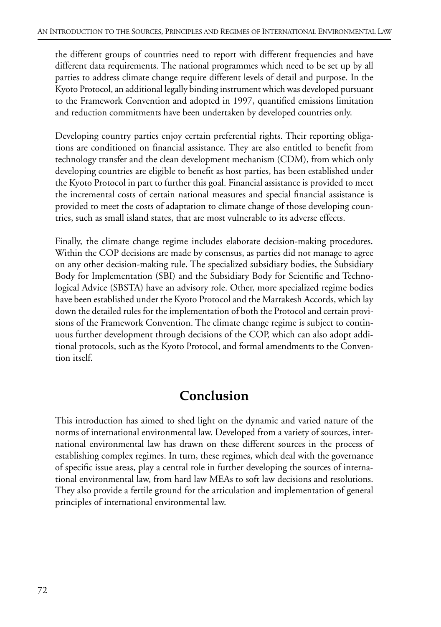the different groups of countries need to report with different frequencies and have different data requirements. The national programmes which need to be set up by all parties to address climate change require different levels of detail and purpose. In the Kyoto Protocol, an additional legally binding instrument which was developed pursuant to the Framework Convention and adopted in 1997, quantified emissions limitation and reduction commitments have been undertaken by developed countries only.

Developing country parties enjoy certain preferential rights. Their reporting obligations are conditioned on financial assistance. They are also entitled to benefit from technology transfer and the clean development mechanism (CDM), from which only developing countries are eligible to benefit as host parties, has been established under the Kyoto Protocol in part to further this goal. Financial assistance is provided to meet the incremental costs of certain national measures and special financial assistance is provided to meet the costs of adaptation to climate change of those developing countries, such as small island states, that are most vulnerable to its adverse effects.

Finally, the climate change regime includes elaborate decision-making procedures. Within the COP decisions are made by consensus, as parties did not manage to agree on any other decision-making rule. The specialized subsidiary bodies, the Subsidiary Body for Implementation (SBI) and the Subsidiary Body for Scientific and Technological Advice (SBSTA) have an advisory role. Other, more specialized regime bodies have been established under the Kyoto Protocol and the Marrakesh Accords, which lay down the detailed rules for the implementation of both the Protocol and certain provisions of the Framework Convention. The climate change regime is subject to continuous further development through decisions of the COP, which can also adopt additional protocols, such as the Kyoto Protocol, and formal amendments to the Convention itself.

## **Conclusion**

This introduction has aimed to shed light on the dynamic and varied nature of the norms of international environmental law. Developed from a variety of sources, international environmental law has drawn on these different sources in the process of establishing complex regimes. In turn, these regimes, which deal with the governance of specific issue areas, play a central role in further developing the sources of international environmental law, from hard law MEAs to soft law decisions and resolutions. They also provide a fertile ground for the articulation and implementation of general principles of international environmental law.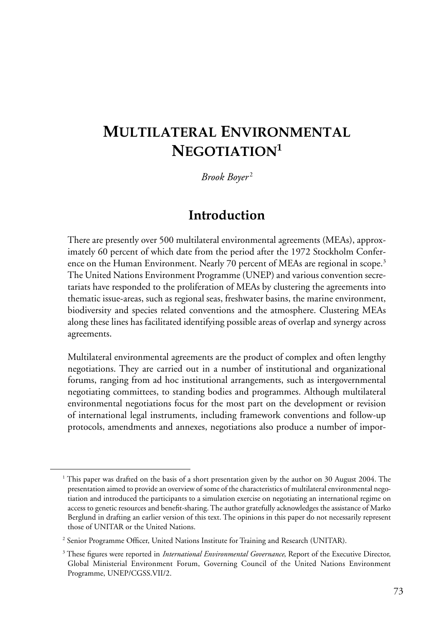# **MULTILATERAL ENVIRONMENTAL NEGOTIATION1**

#### *Brook Boyer* <sup>2</sup>

#### **Introduction**

There are presently over 500 multilateral environmental agreements (MEAs), approximately 60 percent of which date from the period after the 1972 Stockholm Conference on the Human Environment. Nearly 70 percent of MEAs are regional in scope.<sup>3</sup> The United Nations Environment Programme (UNEP) and various convention secretariats have responded to the proliferation of MEAs by clustering the agreements into thematic issue-areas, such as regional seas, freshwater basins, the marine environment, biodiversity and species related conventions and the atmosphere. Clustering MEAs along these lines has facilitated identifying possible areas of overlap and synergy across agreements.

Multilateral environmental agreements are the product of complex and often lengthy negotiations. They are carried out in a number of institutional and organizational forums, ranging from ad hoc institutional arrangements, such as intergovernmental negotiating committees, to standing bodies and programmes. Although multilateral environmental negotiations focus for the most part on the development or revision of international legal instruments, including framework conventions and follow-up protocols, amendments and annexes, negotiations also produce a number of impor-

<sup>&</sup>lt;sup>1</sup> This paper was drafted on the basis of a short presentation given by the author on 30 August 2004. The presentation aimed to provide an overview of some of the characteristics of multilateral environmental negotiation and introduced the participants to a simulation exercise on negotiating an international regime on access to genetic resources and benefit-sharing. The author gratefully acknowledges the assistance of Marko Berglund in drafting an earlier version of this text. The opinions in this paper do not necessarily represent those of UNITAR or the United Nations.

<sup>&</sup>lt;sup>2</sup> Senior Programme Officer, United Nations Institute for Training and Research (UNITAR).

<sup>3</sup> These figures were reported in *International Environmental Governance*, Report of the Executive Director, Global Ministerial Environment Forum, Governing Council of the United Nations Environment Programme, UNEP/CGSS.VII/2.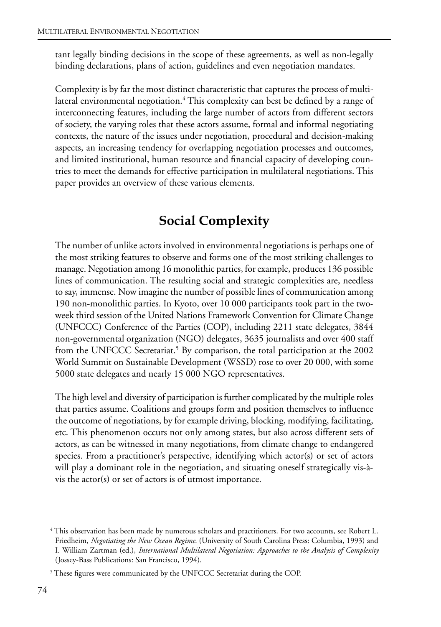tant legally binding decisions in the scope of these agreements, as well as non-legally binding declarations, plans of action, guidelines and even negotiation mandates.

Complexity is by far the most distinct characteristic that captures the process of multilateral environmental negotiation.<sup>4</sup> This complexity can best be defined by a range of interconnecting features, including the large number of actors from different sectors of society, the varying roles that these actors assume, formal and informal negotiating contexts, the nature of the issues under negotiation, procedural and decision-making aspects, an increasing tendency for overlapping negotiation processes and outcomes, and limited institutional, human resource and financial capacity of developing countries to meet the demands for effective participation in multilateral negotiations. This paper provides an overview of these various elements.

# **Social Complexity**

The number of unlike actors involved in environmental negotiations is perhaps one of the most striking features to observe and forms one of the most striking challenges to manage. Negotiation among 16 monolithic parties, for example, produces 136 possible lines of communication. The resulting social and strategic complexities are, needless to say, immense. Now imagine the number of possible lines of communication among 190 non-monolithic parties. In Kyoto, over 10 000 participants took part in the twoweek third session of the United Nations Framework Convention for Climate Change (UNFCCC) Conference of the Parties (COP), including 2211 state delegates, 3844 non-governmental organization (NGO) delegates, 3635 journalists and over 400 staff from the UNFCCC Secretariat.<sup>5</sup> By comparison, the total participation at the 2002 World Summit on Sustainable Development (WSSD) rose to over 20 000, with some 5000 state delegates and nearly 15 000 NGO representatives.

The high level and diversity of participation is further complicated by the multiple roles that parties assume. Coalitions and groups form and position themselves to influence the outcome of negotiations, by for example driving, blocking, modifying, facilitating, etc. This phenomenon occurs not only among states, but also across different sets of actors, as can be witnessed in many negotiations, from climate change to endangered species. From a practitioner's perspective, identifying which actor(s) or set of actors will play a dominant role in the negotiation, and situating oneself strategically vis-àvis the actor(s) or set of actors is of utmost importance.

<sup>4</sup> This observation has been made by numerous scholars and practitioners. For two accounts, see Robert L. Friedheim, *Negotiating the New Ocean Regime*. (University of South Carolina Press: Columbia, 1993) and I. William Zartman (ed.), *International Multilateral Negotiation: Approaches to the Analysis of Complexity* (Jossey-Bass Publications: San Francisco, 1994).

<sup>&</sup>lt;sup>5</sup> These figures were communicated by the UNFCCC Secretariat during the COP.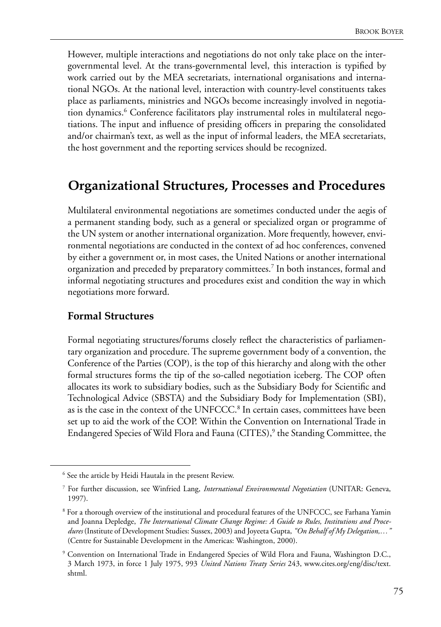However, multiple interactions and negotiations do not only take place on the intergovernmental level. At the trans-governmental level, this interaction is typified by work carried out by the MEA secretariats, international organisations and international NGOs. At the national level, interaction with country-level constituents takes place as parliaments, ministries and NGOs become increasingly involved in negotiation dynamics.<sup>6</sup> Conference facilitators play instrumental roles in multilateral negotiations. The input and influence of presiding officers in preparing the consolidated and/or chairman's text, as well as the input of informal leaders, the MEA secretariats, the host government and the reporting services should be recognized.

## **Organizational Structures, Processes and Procedures**

Multilateral environmental negotiations are sometimes conducted under the aegis of a permanent standing body, such as a general or specialized organ or programme of the UN system or another international organization. More frequently, however, environmental negotiations are conducted in the context of ad hoc conferences, convened by either a government or, in most cases, the United Nations or another international organization and preceded by preparatory committees.7 In both instances, formal and informal negotiating structures and procedures exist and condition the way in which negotiations more forward.

#### **Formal Structures**

Formal negotiating structures/forums closely reflect the characteristics of parliamentary organization and procedure. The supreme government body of a convention, the Conference of the Parties (COP), is the top of this hierarchy and along with the other formal structures forms the tip of the so-called negotiation iceberg. The COP often allocates its work to subsidiary bodies, such as the Subsidiary Body for Scientific and Technological Advice (SBSTA) and the Subsidiary Body for Implementation (SBI), as is the case in the context of the UNFCCC.<sup>8</sup> In certain cases, committees have been set up to aid the work of the COP. Within the Convention on International Trade in Endangered Species of Wild Flora and Fauna (CITES),<sup>9</sup> the Standing Committee, the

<sup>&</sup>lt;sup>6</sup> See the article by Heidi Hautala in the present Review.

<sup>7</sup> For further discussion, see Winfried Lang, *International Environmental Negotiation* (UNITAR: Geneva, 1997).

<sup>&</sup>lt;sup>8</sup> For a thorough overview of the institutional and procedural features of the UNFCCC, see Farhana Yamin and Joanna Depledge, *The International Climate Change Regime: A Guide to Rules, Institutions and Procedures* (Institute of Development Studies: Sussex, 2003) and Joyeeta Gupta, *"On Behalf of My Delegation,…"* (Centre for Sustainable Development in the Americas: Washington, 2000).

<sup>9</sup> Convention on International Trade in Endangered Species of Wild Flora and Fauna, Washington D.C., 3 March 1973, in force 1 July 1975, 993 *United Nations Treaty Series* 243, www.cites.org/eng/disc/text. shtml.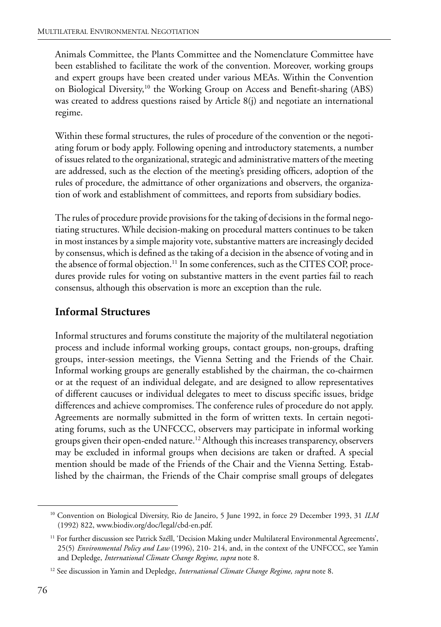Animals Committee, the Plants Committee and the Nomenclature Committee have been established to facilitate the work of the convention. Moreover, working groups and expert groups have been created under various MEAs. Within the Convention on Biological Diversity,<sup>10</sup> the Working Group on Access and Benefit-sharing (ABS) was created to address questions raised by Article 8(j) and negotiate an international regime.

Within these formal structures, the rules of procedure of the convention or the negotiating forum or body apply. Following opening and introductory statements, a number of issues related to the organizational, strategic and administrative matters of the meeting are addressed, such as the election of the meeting's presiding officers, adoption of the rules of procedure, the admittance of other organizations and observers, the organization of work and establishment of committees, and reports from subsidiary bodies.

The rules of procedure provide provisions for the taking of decisions in the formal negotiating structures. While decision-making on procedural matters continues to be taken in most instances by a simple majority vote, substantive matters are increasingly decided by consensus, which is defined as the taking of a decision in the absence of voting and in the absence of formal objection.<sup>11</sup> In some conferences, such as the CITES COP, procedures provide rules for voting on substantive matters in the event parties fail to reach consensus, although this observation is more an exception than the rule.

#### **Informal Structures**

Informal structures and forums constitute the majority of the multilateral negotiation process and include informal working groups, contact groups, non-groups, drafting groups, inter-session meetings, the Vienna Setting and the Friends of the Chair. Informal working groups are generally established by the chairman, the co-chairmen or at the request of an individual delegate, and are designed to allow representatives of different caucuses or individual delegates to meet to discuss specific issues, bridge differences and achieve compromises. The conference rules of procedure do not apply. Agreements are normally submitted in the form of written texts. In certain negotiating forums, such as the UNFCCC, observers may participate in informal working groups given their open-ended nature.<sup>12</sup> Although this increases transparency, observers may be excluded in informal groups when decisions are taken or drafted. A special mention should be made of the Friends of the Chair and the Vienna Setting. Established by the chairman, the Friends of the Chair comprise small groups of delegates

<sup>10</sup> Convention on Biological Diversity, Rio de Janeiro, 5 June 1992, in force 29 December 1993, 31 *ILM* (1992) 822, www.biodiv.org/doc/legal/cbd-en.pdf.

<sup>&</sup>lt;sup>11</sup> For further discussion see Patrick Széll, 'Decision Making under Multilateral Environmental Agreements', 25(5) *Environmental Policy and Law* (1996), 210- 214, and, in the context of the UNFCCC, see Yamin and Depledge, *International Climate Change Regime*, *supra* note 8.

<sup>12</sup> See discussion in Yamin and Depledge, *International Climate Change Regime*, *supra* note 8.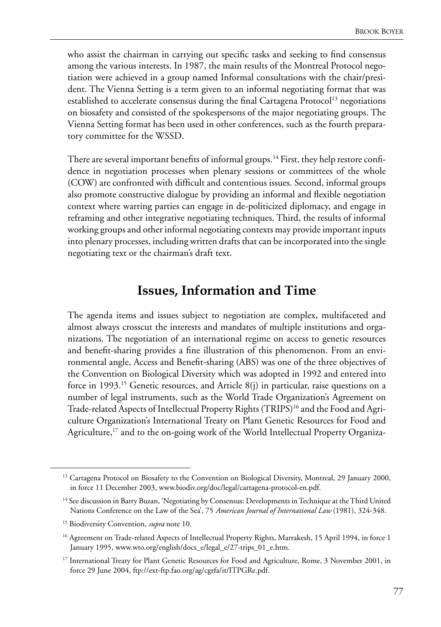who assist the chairman in carrying out specific tasks and seeking to find consensus among the various interests. In 1987, the main results of the Montreal Protocol negotiation were achieved in a group named Informal consultations with the chair/president. The Vienna Setting is a term given to an informal negotiating format that was established to accelerate consensus during the final Cartagena Protocol<sup>13</sup> negotiations on biosafety and consisted of the spokespersons of the major negotiating groups. The Vienna Setting format has been used in other conferences, such as the fourth preparatory committee for the WSSD.

There are several important benefits of informal groups.<sup>14</sup> First, they help restore confidence in negotiation processes when plenary sessions or committees of the whole (COW) are confronted with difficult and contentious issues. Second, informal groups also promote constructive dialogue by providing an informal and flexible negotiation context where warring parties can engage in de-politicized diplomacy, and engage in reframing and other integrative negotiating techniques. Third, the results of informal working groups and other informal negotiating contexts may provide important inputs into plenary processes, including written drafts that can be incorporated into the single negotiating text or the chairman's draft text.

## **Issues, Information and Time**

The agenda items and issues subject to negotiation are complex, multifaceted and almost always crosscut the interests and mandates of multiple institutions and organizations. The negotiation of an international regime on access to genetic resources and benefit-sharing provides a fine illustration of this phenomenon. From an environmental angle, Access and Benefit-sharing (ABS) was one of the three objectives of the Convention on Biological Diversity which was adopted in 1992 and entered into force in 1993.<sup>15</sup> Genetic resources, and Article  $8(j)$  in particular, raise questions on a number of legal instruments, such as the World Trade Organization's Agreement on Trade-related Aspects of Intellectual Property Rights (TRIPS)<sup>16</sup> and the Food and Agriculture Organization's International Treaty on Plant Genetic Resources for Food and Agriculture,<sup>17</sup> and to the on-going work of the World Intellectual Property Organiza-

<sup>&</sup>lt;sup>13</sup> Cartagena Protocol on Biosafety to the Convention on Biological Diversity, Montreal, 29 January 2000, in force 11 December 2003, www.biodiv.org/doc/legal/cartagena-protocol-en.pdf.

<sup>&</sup>lt;sup>14</sup> See discussion in Barry Buzan, 'Negotiating by Consensus: Developments in Technique at the Third United Nations Conference on the Law of the Sea', 75 *American Journal of International Law* (1981), 324-348.

<sup>15</sup> Biodiversity Convention, *supra* note 10.

<sup>&</sup>lt;sup>16</sup> Agreement on Trade-related Aspects of Intellectual Property Rights, Marrakesh, 15 April 1994, in force 1 January 1995, www.wto.org/english/docs\_e/legal\_e/27-trips\_01\_e.htm.

<sup>&</sup>lt;sup>17</sup> International Treaty for Plant Genetic Resources for Food and Agriculture, Rome, 3 November 2001, in force 29 June 2004, ftp://ext-ftp.fao.org/ag/cgrfa/it/ITPGRe.pdf.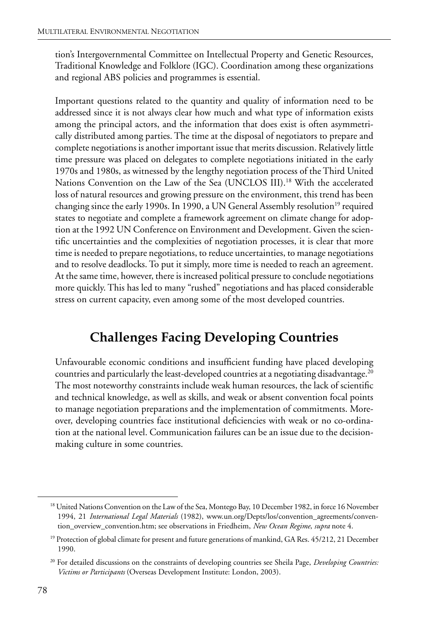tion's Intergovernmental Committee on Intellectual Property and Genetic Resources, Traditional Knowledge and Folklore (IGC). Coordination among these organizations and regional ABS policies and programmes is essential.

Important questions related to the quantity and quality of information need to be addressed since it is not always clear how much and what type of information exists among the principal actors, and the information that does exist is often asymmetrically distributed among parties. The time at the disposal of negotiators to prepare and complete negotiations is another important issue that merits discussion. Relatively little time pressure was placed on delegates to complete negotiations initiated in the early 1970s and 1980s, as witnessed by the lengthy negotiation process of the Third United Nations Convention on the Law of the Sea (UNCLOS III).18 With the accelerated loss of natural resources and growing pressure on the environment, this trend has been changing since the early 1990s. In 1990, a UN General Assembly resolution<sup>19</sup> required states to negotiate and complete a framework agreement on climate change for adoption at the 1992 UN Conference on Environment and Development. Given the scientific uncertainties and the complexities of negotiation processes, it is clear that more time is needed to prepare negotiations, to reduce uncertainties, to manage negotiations and to resolve deadlocks. To put it simply, more time is needed to reach an agreement. At the same time, however, there is increased political pressure to conclude negotiations more quickly. This has led to many "rushed" negotiations and has placed considerable stress on current capacity, even among some of the most developed countries.

# **Challenges Facing Developing Countries**

Unfavourable economic conditions and insufficient funding have placed developing countries and particularly the least-developed countries at a negotiating disadvantage.<sup>20</sup> The most noteworthy constraints include weak human resources, the lack of scientific and technical knowledge, as well as skills, and weak or absent convention focal points to manage negotiation preparations and the implementation of commitments. Moreover, developing countries face institutional deficiencies with weak or no co-ordination at the national level. Communication failures can be an issue due to the decisionmaking culture in some countries.

<sup>&</sup>lt;sup>18</sup> United Nations Convention on the Law of the Sea, Montego Bay, 10 December 1982, in force 16 November 1994, 21 *International Legal Materials* (1982), www.un.org/Depts/los/convention\_agreements/convention\_overview\_convention.htm; see observations in Friedheim, *New Ocean Regime*, *supra* note 4.

<sup>&</sup>lt;sup>19</sup> Protection of global climate for present and future generations of mankind, GA Res. 45/212, 21 December 1990.

<sup>20</sup> For detailed discussions on the constraints of developing countries see Sheila Page, *Developing Countries: Victims or Participants* (Overseas Development Institute: London, 2003).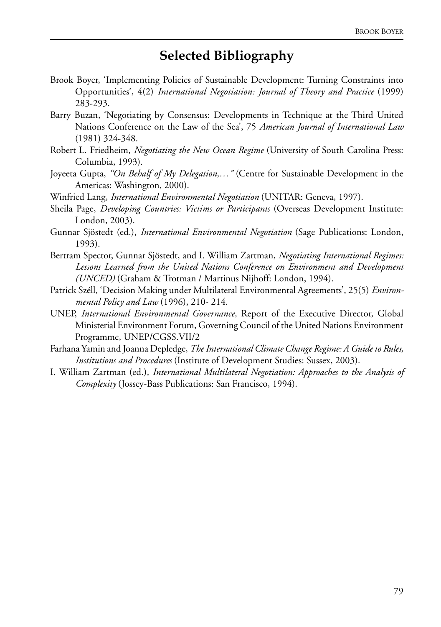## **Selected Bibliography**

- Brook Boyer, 'Implementing Policies of Sustainable Development: Turning Constraints into Opportunities', 4(2) *International Negotiation: Journal of Theory and Practice* (1999) 283-293.
- Barry Buzan, 'Negotiating by Consensus: Developments in Technique at the Third United Nations Conference on the Law of the Sea', 75 *American Journal of International Law*  (1981) 324-348.
- Robert L. Friedheim, *Negotiating the New Ocean Regime* (University of South Carolina Press: Columbia, 1993).
- Joyeeta Gupta, *"On Behalf of My Delegation,…"* (Centre for Sustainable Development in the Americas: Washington, 2000).
- Winfried Lang, *International Environmental Negotiation* (UNITAR: Geneva, 1997).
- Sheila Page, *Developing Countries: Victims or Participants* (Overseas Development Institute: London, 2003).
- Gunnar Sjöstedt (ed.), *International Environmental Negotiation* (Sage Publications: London, 1993).
- Bertram Spector, Gunnar Sjöstedt, and I. William Zartman, *Negotiating International Regimes: Lessons Learned from the United Nations Conference on Environment and Development (UNCED)* (Graham & Trotman / Martinus Nijhoff: London, 1994).
- Patrick Széll, 'Decision Making under Multilateral Environmental Agreements', 25(5) *Environmental Policy and Law* (1996), 210- 214.
- UNEP, *International Environmental Governance,* Report of the Executive Director, Global Ministerial Environment Forum, Governing Council of the United Nations Environment Programme, UNEP/CGSS.VII/2
- Farhana Yamin and Joanna Depledge, *The International Climate Change Regime: A Guide to Rules, Institutions and Procedures* (Institute of Development Studies: Sussex, 2003).
- I. William Zartman (ed.), *International Multilateral Negotiation: Approaches to the Analysis of Complexity* (Jossey-Bass Publications: San Francisco, 1994).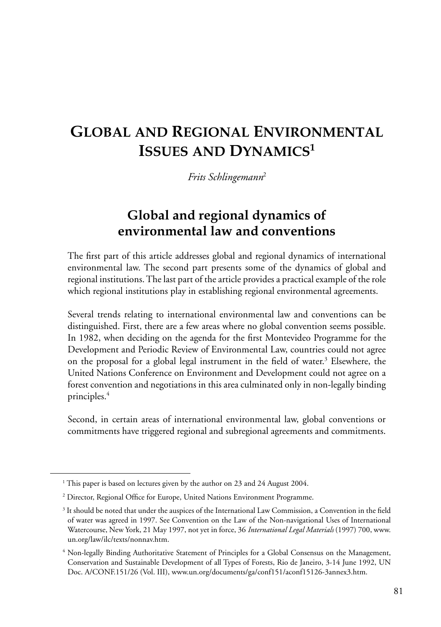# **GLOBAL AND REGIONAL ENVIRONMENTAL ISSUES AND DYNAMICS1**

*Frits Schlingemann*<sup>2</sup>

## **Global and regional dynamics of environmental law and conventions**

The first part of this article addresses global and regional dynamics of international environmental law. The second part presents some of the dynamics of global and regional institutions. The last part of the article provides a practical example of the role which regional institutions play in establishing regional environmental agreements.

Several trends relating to international environmental law and conventions can be distinguished. First, there are a few areas where no global convention seems possible. In 1982, when deciding on the agenda for the first Montevideo Programme for the Development and Periodic Review of Environmental Law, countries could not agree on the proposal for a global legal instrument in the field of water.<sup>3</sup> Elsewhere, the United Nations Conference on Environment and Development could not agree on a forest convention and negotiations in this area culminated only in non-legally binding principles.4

Second, in certain areas of international environmental law, global conventions or commitments have triggered regional and subregional agreements and commitments.

<sup>&</sup>lt;sup>1</sup> This paper is based on lectures given by the author on 23 and 24 August 2004.

<sup>&</sup>lt;sup>2</sup> Director, Regional Office for Europe, United Nations Environment Programme.

<sup>3</sup> It should be noted that under the auspices of the International Law Commission, a Convention in the field of water was agreed in 1997. See Convention on the Law of the Non-navigational Uses of International Watercourse, New York, 21 May 1997, not yet in force, 36 *International Legal Materials* (1997) 700, www. un.org/law/ilc/texts/nonnav.htm.

<sup>4</sup> Non-legally Binding Authoritative Statement of Principles for a Global Consensus on the Management, Conservation and Sustainable Development of all Types of Forests, Rio de Janeiro, 3-14 June 1992, UN Doc. A/CONF.151/26 (Vol. III), www.un.org/documents/ga/conf151/aconf15126-3annex3.htm.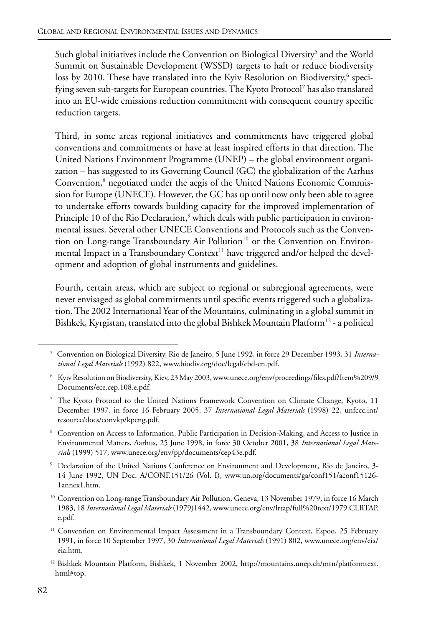Such global initiatives include the Convention on Biological Diversity<sup>5</sup> and the World Summit on Sustainable Development (WSSD) targets to halt or reduce biodiversity loss by 2010. These have translated into the Kyiv Resolution on Biodiversity, $^6$  specifying seven sub-targets for European countries. The Kyoto Protocol7 has also translated into an EU-wide emissions reduction commitment with consequent country specific reduction targets.

Third, in some areas regional initiatives and commitments have triggered global conventions and commitments or have at least inspired efforts in that direction. The United Nations Environment Programme (UNEP) – the global environment organization – has suggested to its Governing Council (GC) the globalization of the Aarhus Convention,<sup>8</sup> negotiated under the aegis of the United Nations Economic Commission for Europe (UNECE). However, the GC has up until now only been able to agree to undertake efforts towards building capacity for the improved implementation of Principle 10 of the Rio Declaration,<sup>9</sup> which deals with public participation in environmental issues. Several other UNECE Conventions and Protocols such as the Convention on Long-range Transboundary Air Pollution<sup>10</sup> or the Convention on Environmental Impact in a Transboundary Context<sup>11</sup> have triggered and/or helped the development and adoption of global instruments and guidelines.

Fourth, certain areas, which are subject to regional or subregional agreements, were never envisaged as global commitments until specific events triggered such a globalization. The 2002 International Year of the Mountains, culminating in a global summit in Bishkek, Kyrgistan, translated into the global Bishkek Mountain Platform<sup>12</sup> - a political

<sup>5</sup> Convention on Biological Diversity, Rio de Janeiro, 5 June 1992, in force 29 December 1993, 31 *International Legal Materials* (1992) 822, www.biodiv.org/doc/legal/cbd-en.pdf.

<sup>6</sup> Kyiv Resolution on Biodiversity, Kiev, 23 May 2003, www.unece.org/env/proceedings/files.pdf/Item%209/9 Documents/ece.cep.108.e.pdf.

<sup>7</sup> The Kyoto Protocol to the United Nations Framework Convention on Climate Change, Kyoto, 11 December 1997, in force 16 February 2005, 37 *International Legal Materials* (1998) 22, unfccc.int/ resource/docs/convkp/kpeng.pdf.

<sup>8</sup> Convention on Access to Information, Public Participation in Decision-Making, and Access to Justice in Environmental Matters, Aarhus, 25 June 1998, in force 30 October 2001, 38 *International Legal Materials* (1999) 517, www.unece.org/env/pp/documents/cep43e.pdf.

<sup>9</sup> Declaration of the United Nations Conference on Environment and Development, Rio de Janeiro, 3- 14 June 1992, UN Doc. A/CONF.151/26 (Vol. I), www.un.org/documents/ga/conf151/aconf15126- 1annex1.htm.

<sup>&</sup>lt;sup>10</sup> Convention on Long-range Transboundary Air Pollution, Geneva, 13 November 1979, in force 16 March 1983, 18 *International Legal Materials* (1979)1442, www.unece.org/env/lrtap/full%20text/1979.CLRTAP. e.pdf.

<sup>&</sup>lt;sup>11</sup> Convention on Environmental Impact Assessment in a Transboundary Context, Espoo, 25 February 1991, in force 10 September 1997, 30 *International Legal Materials* (1991) 802, www.unece.org/env/eia/ eia.htm.

<sup>12</sup> Bishkek Mountain Platform, Bishkek, 1 November 2002, http://mountains.unep.ch/mtn/platformtext. html#top.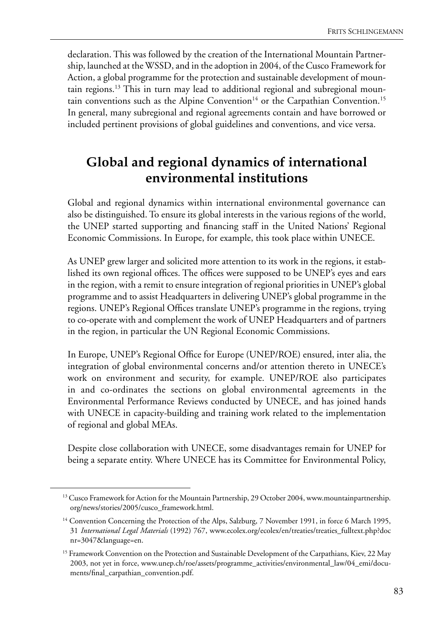declaration. This was followed by the creation of the International Mountain Partnership, launched at the WSSD, and in the adoption in 2004, of the Cusco Framework for Action, a global programme for the protection and sustainable development of mountain regions.<sup>13</sup> This in turn may lead to additional regional and subregional mountain conventions such as the Alpine Convention<sup>14</sup> or the Carpathian Convention.<sup>15</sup> In general, many subregional and regional agreements contain and have borrowed or included pertinent provisions of global guidelines and conventions, and vice versa.

## **Global and regional dynamics of international environmental institutions**

Global and regional dynamics within international environmental governance can also be distinguished. To ensure its global interests in the various regions of the world, the UNEP started supporting and financing staff in the United Nations' Regional Economic Commissions. In Europe, for example, this took place within UNECE.

As UNEP grew larger and solicited more attention to its work in the regions, it established its own regional offices. The offices were supposed to be UNEP's eyes and ears in the region, with a remit to ensure integration of regional priorities in UNEP's global programme and to assist Headquarters in delivering UNEP's global programme in the regions. UNEP's Regional Offices translate UNEP's programme in the regions, trying to co-operate with and complement the work of UNEP Headquarters and of partners in the region, in particular the UN Regional Economic Commissions.

In Europe, UNEP's Regional Office for Europe (UNEP/ROE) ensured, inter alia, the integration of global environmental concerns and/or attention thereto in UNECE's work on environment and security, for example. UNEP/ROE also participates in and co-ordinates the sections on global environmental agreements in the Environmental Performance Reviews conducted by UNECE, and has joined hands with UNECE in capacity-building and training work related to the implementation of regional and global MEAs.

Despite close collaboration with UNECE, some disadvantages remain for UNEP for being a separate entity. Where UNECE has its Committee for Environmental Policy,

<sup>&</sup>lt;sup>13</sup> Cusco Framework for Action for the Mountain Partnership, 29 October 2004, www.mountainpartnership. org/news/stories/2005/cusco\_framework.html.

<sup>&</sup>lt;sup>14</sup> Convention Concerning the Protection of the Alps, Salzburg, 7 November 1991, in force 6 March 1995, 31 *International Legal Materials* (1992) 767, www.ecolex.org/ecolex/en/treaties/treaties\_fulltext.php?doc nr=3047&language=en.

<sup>&</sup>lt;sup>15</sup> Framework Convention on the Protection and Sustainable Development of the Carpathians, Kiev, 22 May 2003, not yet in force, www.unep.ch/roe/assets/programme\_activities/environmental\_law/04\_emi/documents/final\_carpathian\_convention.pdf.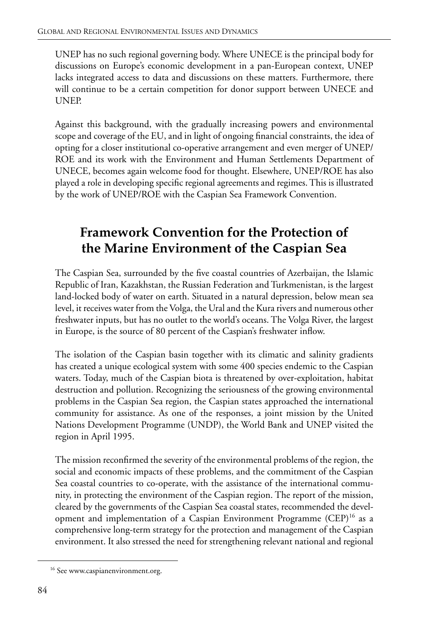UNEP has no such regional governing body. Where UNECE is the principal body for discussions on Europe's economic development in a pan-European context, UNEP lacks integrated access to data and discussions on these matters. Furthermore, there will continue to be a certain competition for donor support between UNECE and UNEP.

Against this background, with the gradually increasing powers and environmental scope and coverage of the EU, and in light of ongoing financial constraints, the idea of opting for a closer institutional co-operative arrangement and even merger of UNEP/ ROE and its work with the Environment and Human Settlements Department of UNECE, becomes again welcome food for thought. Elsewhere, UNEP/ROE has also played a role in developing specific regional agreements and regimes. This is illustrated by the work of UNEP/ROE with the Caspian Sea Framework Convention.

# **Framework Convention for the Protection of the Marine Environment of the Caspian Sea**

The Caspian Sea, surrounded by the five coastal countries of Azerbaijan, the Islamic Republic of Iran, Kazakhstan, the Russian Federation and Turkmenistan, is the largest land-locked body of water on earth. Situated in a natural depression, below mean sea level, it receives water from the Volga, the Ural and the Kura rivers and numerous other freshwater inputs, but has no outlet to the world's oceans. The Volga River, the largest in Europe, is the source of 80 percent of the Caspian's freshwater inflow.

The isolation of the Caspian basin together with its climatic and salinity gradients has created a unique ecological system with some 400 species endemic to the Caspian waters. Today, much of the Caspian biota is threatened by over-exploitation, habitat destruction and pollution. Recognizing the seriousness of the growing environmental problems in the Caspian Sea region, the Caspian states approached the international community for assistance. As one of the responses, a joint mission by the United Nations Development Programme (UNDP), the World Bank and UNEP visited the region in April 1995.

The mission reconfirmed the severity of the environmental problems of the region, the social and economic impacts of these problems, and the commitment of the Caspian Sea coastal countries to co-operate, with the assistance of the international community, in protecting the environment of the Caspian region. The report of the mission, cleared by the governments of the Caspian Sea coastal states, recommended the development and implementation of a Caspian Environment Programme (CEP)<sup>16</sup> as a comprehensive long-term strategy for the protection and management of the Caspian environment. It also stressed the need for strengthening relevant national and regional

<sup>&</sup>lt;sup>16</sup> See www.caspianenvironment.org.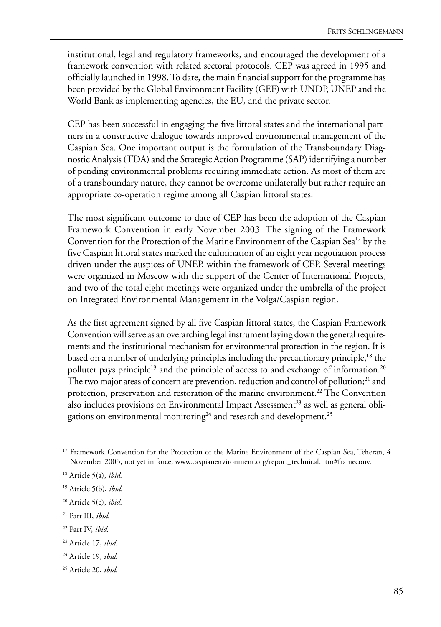institutional, legal and regulatory frameworks, and encouraged the development of a framework convention with related sectoral protocols. CEP was agreed in 1995 and officially launched in 1998. To date, the main financial support for the programme has been provided by the Global Environment Facility (GEF) with UNDP, UNEP and the World Bank as implementing agencies, the EU, and the private sector.

CEP has been successful in engaging the five littoral states and the international partners in a constructive dialogue towards improved environmental management of the Caspian Sea. One important output is the formulation of the Transboundary Diagnostic Analysis (TDA) and the Strategic Action Programme (SAP) identifying a number of pending environmental problems requiring immediate action. As most of them are of a transboundary nature, they cannot be overcome unilaterally but rather require an appropriate co-operation regime among all Caspian littoral states.

The most significant outcome to date of CEP has been the adoption of the Caspian Framework Convention in early November 2003. The signing of the Framework Convention for the Protection of the Marine Environment of the Caspian Sea<sup>17</sup> by the five Caspian littoral states marked the culmination of an eight year negotiation process driven under the auspices of UNEP, within the framework of CEP. Several meetings were organized in Moscow with the support of the Center of International Projects, and two of the total eight meetings were organized under the umbrella of the project on Integrated Environmental Management in the Volga/Caspian region.

As the first agreement signed by all five Caspian littoral states, the Caspian Framework Convention will serve as an overarching legal instrument laying down the general requirements and the institutional mechanism for environmental protection in the region. It is based on a number of underlying principles including the precautionary principle,<sup>18</sup> the polluter pays principle<sup>19</sup> and the principle of access to and exchange of information.<sup>20</sup> The two major areas of concern are prevention, reduction and control of pollution;<sup>21</sup> and protection, preservation and restoration of the marine environment.<sup>22</sup> The Convention also includes provisions on Environmental Impact Assessment<sup>23</sup> as well as general obligations on environmental monitoring<sup>24</sup> and research and development.<sup>25</sup>

24 Article 19, *ibid*.

<sup>&</sup>lt;sup>17</sup> Framework Convention for the Protection of the Marine Environment of the Caspian Sea, Teheran, 4 November 2003, not yet in force, www.caspianenvironment.org/report\_technical.htm#frameconv.

<sup>18</sup> Article 5(a), *ibid*.

<sup>19</sup> Atricle 5(b), *ibid*.

<sup>20</sup> Article 5(c), *ibid*.

<sup>21</sup> Part III, *ibid*.

<sup>22</sup> Part IV, *ibid*.

<sup>23</sup> Article 17, *ibid*.

<sup>25</sup> Article 20, *ibid*.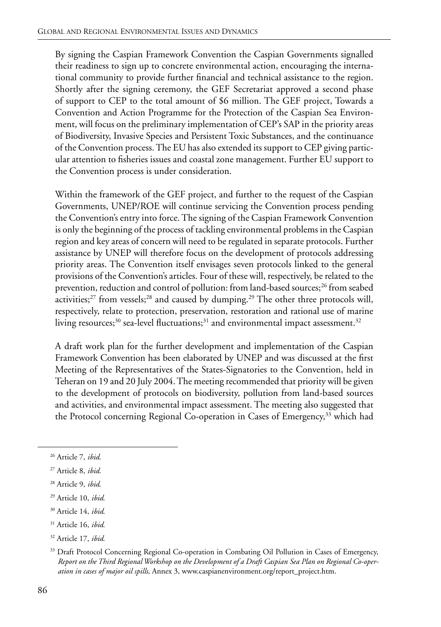By signing the Caspian Framework Convention the Caspian Governments signalled their readiness to sign up to concrete environmental action, encouraging the international community to provide further financial and technical assistance to the region. Shortly after the signing ceremony, the GEF Secretariat approved a second phase of support to CEP to the total amount of \$6 million. The GEF project, Towards a Convention and Action Programme for the Protection of the Caspian Sea Environment, will focus on the preliminary implementation of CEP's SAP in the priority areas of Biodiversity, Invasive Species and Persistent Toxic Substances, and the continuance of the Convention process. The EU has also extended its support to CEP giving particular attention to fisheries issues and coastal zone management. Further EU support to the Convention process is under consideration.

Within the framework of the GEF project, and further to the request of the Caspian Governments, UNEP/ROE will continue servicing the Convention process pending the Convention's entry into force. The signing of the Caspian Framework Convention is only the beginning of the process of tackling environmental problems in the Caspian region and key areas of concern will need to be regulated in separate protocols. Further assistance by UNEP will therefore focus on the development of protocols addressing priority areas. The Convention itself envisages seven protocols linked to the general provisions of the Convention's articles. Four of these will, respectively, be related to the prevention, reduction and control of pollution: from land-based sources;<sup>26</sup> from seabed activities; $27$  from vessels; $28$  and caused by dumping. $29$  The other three protocols will, respectively, relate to protection, preservation, restoration and rational use of marine living resources;<sup>30</sup> sea-level fluctuations;<sup>31</sup> and environmental impact assessment.<sup>32</sup>

A draft work plan for the further development and implementation of the Caspian Framework Convention has been elaborated by UNEP and was discussed at the first Meeting of the Representatives of the States-Signatories to the Convention, held in Teheran on 19 and 20 July 2004. The meeting recommended that priority will be given to the development of protocols on biodiversity, pollution from land-based sources and activities, and environmental impact assessment. The meeting also suggested that the Protocol concerning Regional Co-operation in Cases of Emergency,<sup>33</sup> which had

- 30 Article 14, *ibid*.
- 31 Article 16, *ibid*.
- 32 Article 17, *ibid*.

<sup>26</sup> Article 7, *ibid*.

<sup>27</sup> Article 8, *ibid*.

<sup>28</sup> Article 9, *ibid*.

<sup>29</sup> Article 10, *ibid*.

<sup>&</sup>lt;sup>33</sup> Draft Protocol Concerning Regional Co-operation in Combating Oil Pollution in Cases of Emergency, *Report on the Third Regional Workshop on the Development of a Draft Caspian Sea Plan on Regional Co-operation in cases of major oil spills*, Annex 3, www.caspianenvironment.org/report\_project.htm.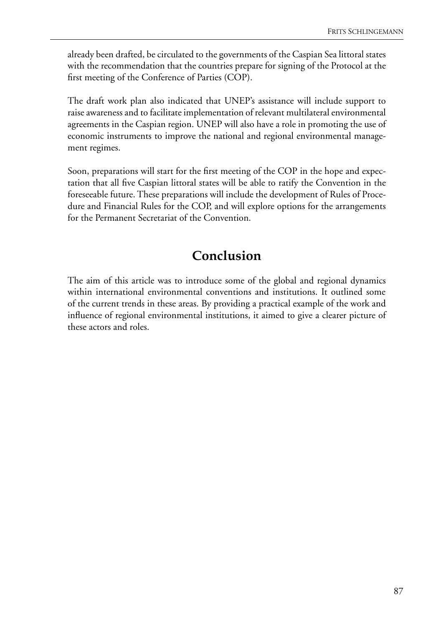already been drafted, be circulated to the governments of the Caspian Sea littoral states with the recommendation that the countries prepare for signing of the Protocol at the first meeting of the Conference of Parties (COP).

The draft work plan also indicated that UNEP's assistance will include support to raise awareness and to facilitate implementation of relevant multilateral environmental agreements in the Caspian region. UNEP will also have a role in promoting the use of economic instruments to improve the national and regional environmental management regimes.

Soon, preparations will start for the first meeting of the COP in the hope and expectation that all five Caspian littoral states will be able to ratify the Convention in the foreseeable future. These preparations will include the development of Rules of Procedure and Financial Rules for the COP, and will explore options for the arrangements for the Permanent Secretariat of the Convention.

# **Conclusion**

The aim of this article was to introduce some of the global and regional dynamics within international environmental conventions and institutions. It outlined some of the current trends in these areas. By providing a practical example of the work and influence of regional environmental institutions, it aimed to give a clearer picture of these actors and roles.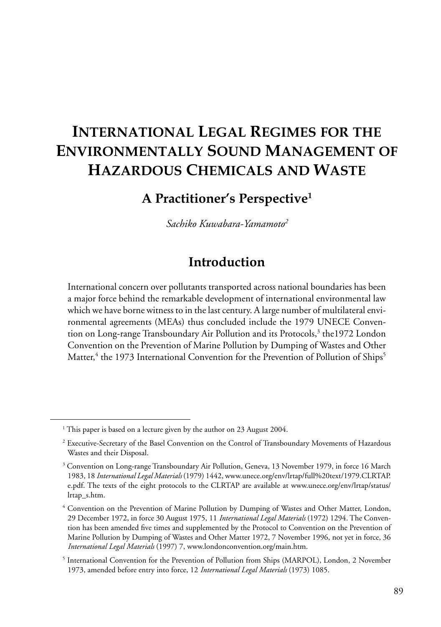# **INTERNATIONAL LEGAL REGIMES FOR THE ENVIRONMENTALLY SOUND MANAGEMENT OF HAZARDOUS CHEMICALS AND WASTE**

## **A Practitioner's Perspective1**

*Sachiko Kuwabara-Yamamoto2*

## **Introduction**

International concern over pollutants transported across national boundaries has been a major force behind the remarkable development of international environmental law which we have borne witness to in the last century. A large number of multilateral environmental agreements (MEAs) thus concluded include the 1979 UNECE Convention on Long-range Transboundary Air Pollution and its Protocols,<sup>3</sup> the1972 London Convention on the Prevention of Marine Pollution by Dumping of Wastes and Other Matter,<sup>4</sup> the 1973 International Convention for the Prevention of Pollution of Ships<sup>5</sup>

<sup>&</sup>lt;sup>1</sup> This paper is based on a lecture given by the author on 23 August 2004.

<sup>2</sup> Executive-Secretary of the Basel Convention on the Control of Transboundary Movements of Hazardous Wastes and their Disposal.

 $^3$  Convention on Long-range Transboundary Air Pollution, Geneva, 13 November 1979, in force 16 March 1983, 18 *International Legal Materials* (1979) 1442, www.unece.org/env/lrtap/full%20text/1979.CLRTAP. e.pdf. The texts of the eight protocols to the CLRTAP are available at www.unece.org/env/lrtap/status/ lrtap\_s.htm.

<sup>4</sup> Convention on the Prevention of Marine Pollution by Dumping of Wastes and Other Matter, London, 29 December 1972, in force 30 August 1975, 11 *International Legal Materials* (1972) 1294. The Convention has been amended five times and supplemented by the Protocol to Convention on the Prevention of Marine Pollution by Dumping of Wastes and Other Matter 1972, 7 November 1996, not yet in force, 36 *International Legal Materials* (1997) 7, www.londonconvention.org/main.htm.

<sup>&</sup>lt;sup>5</sup> International Convention for the Prevention of Pollution from Ships (MARPOL), London, 2 November 1973, amended before entry into force, 12 *International Legal Materials* (1973) 1085.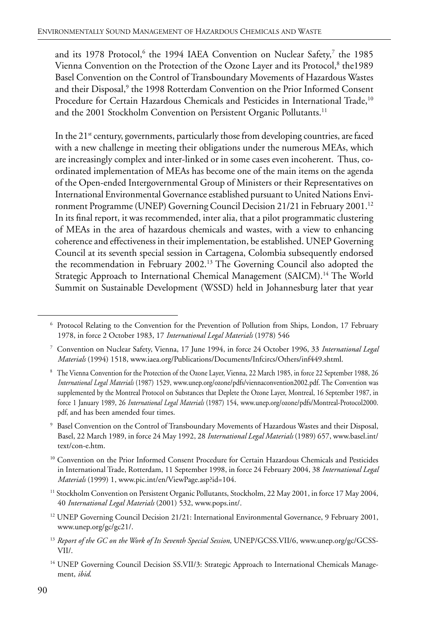and its 1978 Protocol, <sup>6</sup> the 1994 IAEA Convention on Nuclear Safety,<sup>7</sup> the 1985 Vienna Convention on the Protection of the Ozone Layer and its Protocol,<sup>8</sup> the1989 Basel Convention on the Control of Transboundary Movements of Hazardous Wastes and their Disposal,<sup>9</sup> the 1998 Rotterdam Convention on the Prior Informed Consent Procedure for Certain Hazardous Chemicals and Pesticides in International Trade,<sup>10</sup> and the 2001 Stockholm Convention on Persistent Organic Pollutants.<sup>11</sup>

In the  $21<sup>st</sup>$  century, governments, particularly those from developing countries, are faced with a new challenge in meeting their obligations under the numerous MEAs, which are increasingly complex and inter-linked or in some cases even incoherent. Thus, coordinated implementation of MEAs has become one of the main items on the agenda of the Open-ended Intergovernmental Group of Ministers or their Representatives on International Environmental Governance established pursuant to United Nations Environment Programme (UNEP) Governing Council Decision 21/21 in February 2001.<sup>12</sup> In its final report, it was recommended, inter alia, that a pilot programmatic clustering of MEAs in the area of hazardous chemicals and wastes, with a view to enhancing coherence and effectiveness in their implementation, be established. UNEP Governing Council at its seventh special session in Cartagena, Colombia subsequently endorsed the recommendation in February 2002.13 The Governing Council also adopted the Strategic Approach to International Chemical Management (SAICM).<sup>14</sup> The World Summit on Sustainable Development (WSSD) held in Johannesburg later that year

- <sup>12</sup> UNEP Governing Council Decision 21/21: International Environmental Governance, 9 February 2001, www.unep.org/gc/gc21/.
- <sup>13</sup> Report of the GC on the Work of Its Seventh Special Session, UNEP/GCSS.VII/6, www.unep.org/gc/GCSS-VII/.
- <sup>14</sup> UNEP Governing Council Decision SS.VII/3: Strategic Approach to International Chemicals Management, *ibid*.

<sup>6</sup> Protocol Relating to the Convention for the Prevention of Pollution from Ships, London, 17 February 1978, in force 2 October 1983, 17 *International Legal Materials* (1978) 546

<sup>7</sup> Convention on Nuclear Safety, Vienna, 17 June 1994, in force 24 October 1996, 33 *International Legal Materials* (1994) 1518, www.iaea.org/Publications/Documents/Infcircs/Others/inf449.shtml.

<sup>8</sup> The Vienna Convention for the Protection of the Ozone Layer, Vienna, 22 March 1985, in force 22 September 1988, 26 *International Legal Materials* (1987) 1529, www.unep.org/ozone/pdfs/viennaconvention2002.pdf. The Convention was supplemented by the Montreal Protocol on Substances that Deplete the Ozone Layer, Montreal, 16 September 1987, in force 1 January 1989, 26 *International Legal Materials* (1987) 154, www.unep.org/ozone/pdfs/Montreal-Protocol2000. pdf, and has been amended four times.

<sup>9</sup> Basel Convention on the Control of Transboundary Movements of Hazardous Wastes and their Disposal, Basel, 22 March 1989, in force 24 May 1992, 28 *International Legal Materials* (1989) 657, www.basel.int/ text/con-e.htm.

<sup>&</sup>lt;sup>10</sup> Convention on the Prior Informed Consent Procedure for Certain Hazardous Chemicals and Pesticides in International Trade, Rotterdam, 11 September 1998, in force 24 February 2004, 38 *International Legal Materials* (1999) 1, www.pic.int/en/ViewPage.asp?id=104.

<sup>&</sup>lt;sup>11</sup> Stockholm Convention on Persistent Organic Pollutants, Stockholm, 22 May 2001, in force 17 May 2004, 40 *International Legal Materials* (2001) 532, www.pops.int/.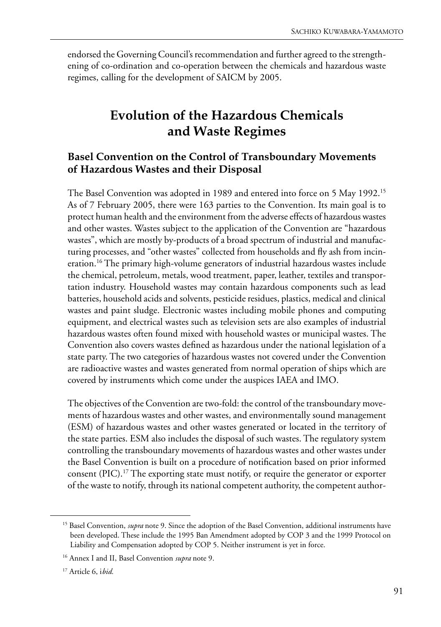endorsed the Governing Council's recommendation and further agreed to the strengthening of co-ordination and co-operation between the chemicals and hazardous waste regimes, calling for the development of SAICM by 2005.

## **Evolution of the Hazardous Chemicals and Waste Regimes**

#### **Basel Convention on the Control of Transboundary Movements of Hazardous Wastes and their Disposal**

The Basel Convention was adopted in 1989 and entered into force on 5 May 1992.15 As of 7 February 2005, there were 163 parties to the Convention. Its main goal is to protect human health and the environment from the adverse effects of hazardous wastes and other wastes. Wastes subject to the application of the Convention are "hazardous wastes", which are mostly by-products of a broad spectrum of industrial and manufacturing processes, and "other wastes" collected from households and fly ash from incineration.16 The primary high-volume generators of industrial hazardous wastes include the chemical, petroleum, metals, wood treatment, paper, leather, textiles and transportation industry. Household wastes may contain hazardous components such as lead batteries, household acids and solvents, pesticide residues, plastics, medical and clinical wastes and paint sludge. Electronic wastes including mobile phones and computing equipment, and electrical wastes such as television sets are also examples of industrial hazardous wastes often found mixed with household wastes or municipal wastes. The Convention also covers wastes defined as hazardous under the national legislation of a state party. The two categories of hazardous wastes not covered under the Convention are radioactive wastes and wastes generated from normal operation of ships which are covered by instruments which come under the auspices IAEA and IMO.

The objectives of the Convention are two-fold: the control of the transboundary movements of hazardous wastes and other wastes, and environmentally sound management (ESM) of hazardous wastes and other wastes generated or located in the territory of the state parties. ESM also includes the disposal of such wastes. The regulatory system controlling the transboundary movements of hazardous wastes and other wastes under the Basel Convention is built on a procedure of notification based on prior informed consent (PIC).17 The exporting state must notify, or require the generator or exporter of the waste to notify, through its national competent authority, the competent author-

<sup>&</sup>lt;sup>15</sup> Basel Convention, *supra* note 9. Since the adoption of the Basel Convention, additional instruments have been developed. These include the 1995 Ban Amendment adopted by COP 3 and the 1999 Protocol on Liability and Compensation adopted by COP 5. Neither instrument is yet in force.

<sup>16</sup> Annex I and II, Basel Convention *supra* note 9.

<sup>17</sup> Article 6, i*bid.*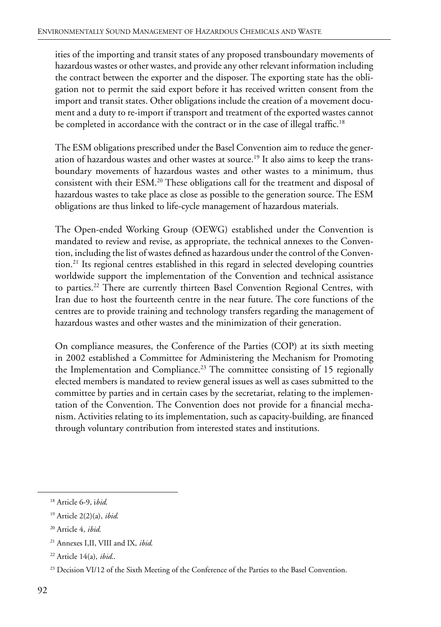ities of the importing and transit states of any proposed transboundary movements of hazardous wastes or other wastes, and provide any other relevant information including the contract between the exporter and the disposer. The exporting state has the obligation not to permit the said export before it has received written consent from the import and transit states. Other obligations include the creation of a movement document and a duty to re-import if transport and treatment of the exported wastes cannot be completed in accordance with the contract or in the case of illegal traffic.<sup>18</sup>

The ESM obligations prescribed under the Basel Convention aim to reduce the generation of hazardous wastes and other wastes at source.<sup>19</sup> It also aims to keep the transboundary movements of hazardous wastes and other wastes to a minimum, thus consistent with their ESM.20 These obligations call for the treatment and disposal of hazardous wastes to take place as close as possible to the generation source. The ESM obligations are thus linked to life-cycle management of hazardous materials.

The Open-ended Working Group (OEWG) established under the Convention is mandated to review and revise, as appropriate, the technical annexes to the Convention, including the list of wastes defined as hazardous under the control of the Convention.21 Its regional centres established in this regard in selected developing countries worldwide support the implementation of the Convention and technical assistance to parties.<sup>22</sup> There are currently thirteen Basel Convention Regional Centres, with Iran due to host the fourteenth centre in the near future. The core functions of the centres are to provide training and technology transfers regarding the management of hazardous wastes and other wastes and the minimization of their generation.

On compliance measures, the Conference of the Parties (COP) at its sixth meeting in 2002 established a Committee for Administering the Mechanism for Promoting the Implementation and Compliance.<sup>23</sup> The committee consisting of 15 regionally elected members is mandated to review general issues as well as cases submitted to the committee by parties and in certain cases by the secretariat, relating to the implementation of the Convention. The Convention does not provide for a financial mechanism. Activities relating to its implementation, such as capacity-building, are financed through voluntary contribution from interested states and institutions.

<sup>18</sup> Article 6-9, i*bid*.

<sup>19</sup> Article 2(2)(a), *ibid*.

<sup>20</sup> Article 4, *ibid*.

<sup>21</sup> Annexes I,II, VIII and IX, *ibid*.

<sup>22</sup> Article 14(a), *ibid*..

<sup>&</sup>lt;sup>23</sup> Decision VI/12 of the Sixth Meeting of the Conference of the Parties to the Basel Convention.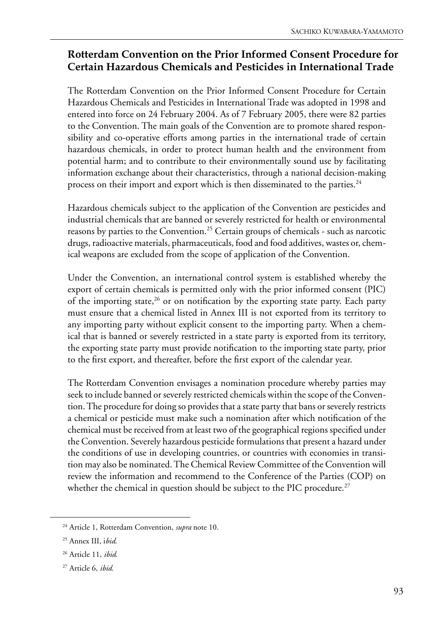#### **Rotterdam Convention on the Prior Informed Consent Procedure for Certain Hazardous Chemicals and Pesticides in International Trade**

The Rotterdam Convention on the Prior Informed Consent Procedure for Certain Hazardous Chemicals and Pesticides in International Trade was adopted in 1998 and entered into force on 24 February 2004. As of 7 February 2005, there were 82 parties to the Convention. The main goals of the Convention are to promote shared responsibility and co-operative efforts among parties in the international trade of certain hazardous chemicals, in order to protect human health and the environment from potential harm; and to contribute to their environmentally sound use by facilitating information exchange about their characteristics, through a national decision-making process on their import and export which is then disseminated to the parties.<sup>24</sup>

Hazardous chemicals subject to the application of the Convention are pesticides and industrial chemicals that are banned or severely restricted for health or environmental reasons by parties to the Convention.<sup>25</sup> Certain groups of chemicals - such as narcotic drugs, radioactive materials, pharmaceuticals, food and food additives, wastes or, chemical weapons are excluded from the scope of application of the Convention.

Under the Convention, an international control system is established whereby the export of certain chemicals is permitted only with the prior informed consent (PIC) of the importing state,  $26$  or on notification by the exporting state party. Each party must ensure that a chemical listed in Annex III is not exported from its territory to any importing party without explicit consent to the importing party. When a chemical that is banned or severely restricted in a state party is exported from its territory, the exporting state party must provide notification to the importing state party, prior to the first export, and thereafter, before the first export of the calendar year.

The Rotterdam Convention envisages a nomination procedure whereby parties may seek to include banned or severely restricted chemicals within the scope of the Convention. The procedure for doing so provides that a state party that bans or severely restricts a chemical or pesticide must make such a nomination after which notification of the chemical must be received from at least two of the geographical regions specified under the Convention. Severely hazardous pesticide formulations that present a hazard under the conditions of use in developing countries, or countries with economies in transition may also be nominated. The Chemical Review Committee of the Convention will review the information and recommend to the Conference of the Parties (COP) on whether the chemical in question should be subject to the PIC procedure.<sup>27</sup>

<sup>24</sup> Article 1, Rotterdam Convention, *supra* note 10.

<sup>25</sup> Annex III, i*bid*.

<sup>26</sup> Article 11, *ibid*.

<sup>27</sup> Article 6, *ibid*.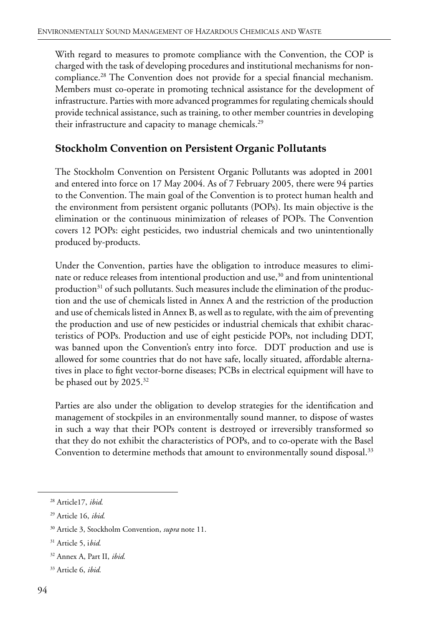With regard to measures to promote compliance with the Convention, the COP is charged with the task of developing procedures and institutional mechanisms for noncompliance.28 The Convention does not provide for a special financial mechanism. Members must co-operate in promoting technical assistance for the development of infrastructure. Parties with more advanced programmes for regulating chemicals should provide technical assistance, such as training, to other member countries in developing their infrastructure and capacity to manage chemicals.<sup>29</sup>

#### **Stockholm Convention on Persistent Organic Pollutants**

The Stockholm Convention on Persistent Organic Pollutants was adopted in 2001 and entered into force on 17 May 2004. As of 7 February 2005, there were 94 parties to the Convention. The main goal of the Convention is to protect human health and the environment from persistent organic pollutants (POPs). Its main objective is the elimination or the continuous minimization of releases of POPs. The Convention covers 12 POPs: eight pesticides, two industrial chemicals and two unintentionally produced by-products.

Under the Convention, parties have the obligation to introduce measures to eliminate or reduce releases from intentional production and use,<sup>30</sup> and from unintentional production<sup>31</sup> of such pollutants. Such measures include the elimination of the production and the use of chemicals listed in Annex A and the restriction of the production and use of chemicals listed in Annex B, as well as to regulate, with the aim of preventing the production and use of new pesticides or industrial chemicals that exhibit characteristics of POPs. Production and use of eight pesticide POPs, not including DDT, was banned upon the Convention's entry into force. DDT production and use is allowed for some countries that do not have safe, locally situated, affordable alternatives in place to fight vector-borne diseases; PCBs in electrical equipment will have to be phased out by 2025.<sup>32</sup>

Parties are also under the obligation to develop strategies for the identification and management of stockpiles in an environmentally sound manner, to dispose of wastes in such a way that their POPs content is destroyed or irreversibly transformed so that they do not exhibit the characteristics of POPs, and to co-operate with the Basel Convention to determine methods that amount to environmentally sound disposal.<sup>33</sup>

<sup>28</sup> Article17, *ibid*.

<sup>29</sup> Article 16, *ibid*.

<sup>30</sup> Article 3, Stockholm Convention, *supra* note 11.

<sup>31</sup> Article 5, i*bid*.

<sup>32</sup> Annex A, Part II, *ibid*.

<sup>33</sup> Article 6, *ibid*.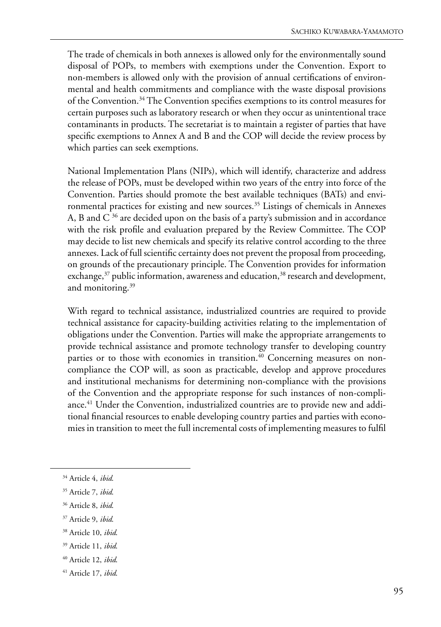The trade of chemicals in both annexes is allowed only for the environmentally sound disposal of POPs, to members with exemptions under the Convention. Export to non-members is allowed only with the provision of annual certifications of environmental and health commitments and compliance with the waste disposal provisions of the Convention.34 The Convention specifies exemptions to its control measures for certain purposes such as laboratory research or when they occur as unintentional trace contaminants in products. The secretariat is to maintain a register of parties that have specific exemptions to Annex A and B and the COP will decide the review process by which parties can seek exemptions.

National Implementation Plans (NIPs), which will identify, characterize and address the release of POPs, must be developed within two years of the entry into force of the Convention. Parties should promote the best available techniques (BATs) and environmental practices for existing and new sources.<sup>35</sup> Listings of chemicals in Annexes A, B and  $C^{36}$  are decided upon on the basis of a party's submission and in accordance with the risk profile and evaluation prepared by the Review Committee. The COP may decide to list new chemicals and specify its relative control according to the three annexes. Lack of full scientific certainty does not prevent the proposal from proceeding, on grounds of the precautionary principle. The Convention provides for information exchange, $37$  public information, awareness and education, $38$  research and development, and monitoring.<sup>39</sup>

With regard to technical assistance, industrialized countries are required to provide technical assistance for capacity-building activities relating to the implementation of obligations under the Convention. Parties will make the appropriate arrangements to provide technical assistance and promote technology transfer to developing country parties or to those with economies in transition.<sup>40</sup> Concerning measures on noncompliance the COP will, as soon as practicable, develop and approve procedures and institutional mechanisms for determining non-compliance with the provisions of the Convention and the appropriate response for such instances of non-compliance.<sup>41</sup> Under the Convention, industrialized countries are to provide new and additional financial resources to enable developing country parties and parties with economies in transition to meet the full incremental costs of implementing measures to fulfil

- 37 Article 9, *ibid*.
- 38 Article 10, *ibid*.
- 39 Article 11, *ibid*.
- 40 Article 12, *ibid*.
- 41 Article 17, *ibid*.

<sup>34</sup> Article 4, *ibid*.

<sup>35</sup> Article 7, *ibid*.

<sup>36</sup> Article 8, *ibid*.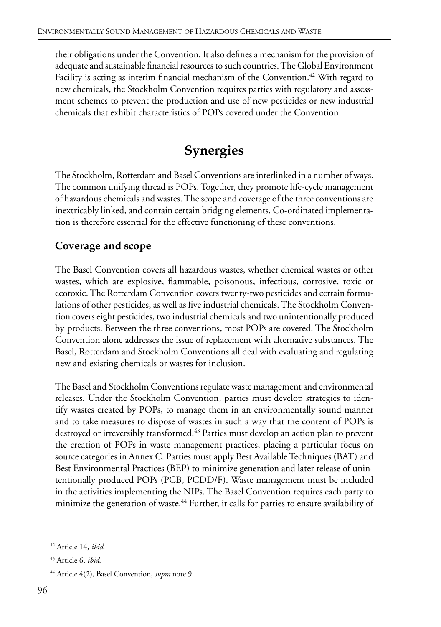their obligations under the Convention. It also defines a mechanism for the provision of adequate and sustainable financial resources to such countries. The Global Environment Facility is acting as interim financial mechanism of the Convention.<sup>42</sup> With regard to new chemicals, the Stockholm Convention requires parties with regulatory and assessment schemes to prevent the production and use of new pesticides or new industrial chemicals that exhibit characteristics of POPs covered under the Convention.

# **Synergies**

The Stockholm, Rotterdam and Basel Conventions are interlinked in a number of ways. The common unifying thread is POPs. Together, they promote life-cycle management of hazardous chemicals and wastes. The scope and coverage of the three conventions are inextricably linked, and contain certain bridging elements. Co-ordinated implementation is therefore essential for the effective functioning of these conventions.

#### **Coverage and scope**

The Basel Convention covers all hazardous wastes, whether chemical wastes or other wastes, which are explosive, flammable, poisonous, infectious, corrosive, toxic or ecotoxic. The Rotterdam Convention covers twenty-two pesticides and certain formulations of other pesticides, as well as five industrial chemicals. The Stockholm Convention covers eight pesticides, two industrial chemicals and two unintentionally produced by-products. Between the three conventions, most POPs are covered. The Stockholm Convention alone addresses the issue of replacement with alternative substances. The Basel, Rotterdam and Stockholm Conventions all deal with evaluating and regulating new and existing chemicals or wastes for inclusion.

The Basel and Stockholm Conventions regulate waste management and environmental releases. Under the Stockholm Convention, parties must develop strategies to identify wastes created by POPs, to manage them in an environmentally sound manner and to take measures to dispose of wastes in such a way that the content of POPs is destroyed or irreversibly transformed.<sup>43</sup> Parties must develop an action plan to prevent the creation of POPs in waste management practices, placing a particular focus on source categories in Annex C. Parties must apply Best Available Techniques (BAT) and Best Environmental Practices (BEP) to minimize generation and later release of unintentionally produced POPs (PCB, PCDD/F). Waste management must be included in the activities implementing the NIPs. The Basel Convention requires each party to minimize the generation of waste.<sup>44</sup> Further, it calls for parties to ensure availability of

<sup>42</sup> Article 14, *ibid*.

<sup>43</sup> Article 6, *ibid*.

<sup>44</sup> Article 4(2), Basel Convention, *supra* note 9.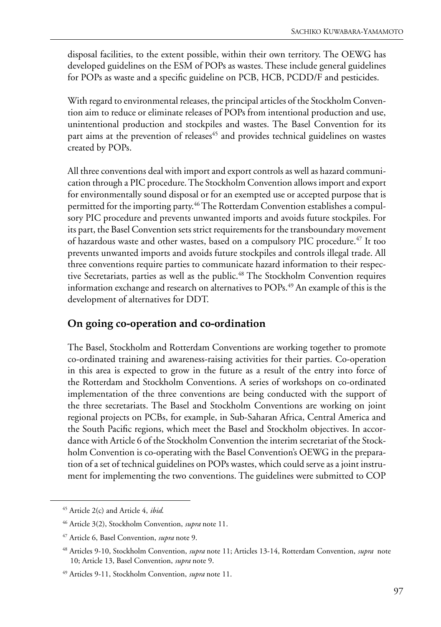disposal facilities, to the extent possible, within their own territory. The OEWG has developed guidelines on the ESM of POPs as wastes. These include general guidelines for POPs as waste and a specific guideline on PCB, HCB, PCDD/F and pesticides.

With regard to environmental releases, the principal articles of the Stockholm Convention aim to reduce or eliminate releases of POPs from intentional production and use, unintentional production and stockpiles and wastes. The Basel Convention for its part aims at the prevention of releases<sup>45</sup> and provides technical guidelines on wastes created by POPs.

All three conventions deal with import and export controls as well as hazard communication through a PIC procedure. The Stockholm Convention allows import and export for environmentally sound disposal or for an exempted use or accepted purpose that is permitted for the importing party.<sup>46</sup> The Rotterdam Convention establishes a compulsory PIC procedure and prevents unwanted imports and avoids future stockpiles. For its part, the Basel Convention sets strict requirements for the transboundary movement of hazardous waste and other wastes, based on a compulsory PIC procedure.<sup>47</sup> It too prevents unwanted imports and avoids future stockpiles and controls illegal trade. All three conventions require parties to communicate hazard information to their respective Secretariats, parties as well as the public.<sup>48</sup> The Stockholm Convention requires information exchange and research on alternatives to POPs.<sup>49</sup> An example of this is the development of alternatives for DDT.

#### **On going co-operation and co-ordination**

The Basel, Stockholm and Rotterdam Conventions are working together to promote co-ordinated training and awareness-raising activities for their parties. Co-operation in this area is expected to grow in the future as a result of the entry into force of the Rotterdam and Stockholm Conventions. A series of workshops on co-ordinated implementation of the three conventions are being conducted with the support of the three secretariats. The Basel and Stockholm Conventions are working on joint regional projects on PCBs, for example, in Sub-Saharan Africa, Central America and the South Pacific regions, which meet the Basel and Stockholm objectives. In accordance with Article 6 of the Stockholm Convention the interim secretariat of the Stockholm Convention is co-operating with the Basel Convention's OEWG in the preparation of a set of technical guidelines on POPs wastes, which could serve as a joint instrument for implementing the two conventions. The guidelines were submitted to COP

<sup>45</sup> Article 2(c) and Article 4, *ibid*.

<sup>46</sup> Article 3(2), Stockholm Convention, *supra* note 11.

<sup>47</sup> Article 6, Basel Convention, *supra* note 9.

<sup>48</sup> Articles 9-10, Stockholm Convention, *supra* note 11; Articles 13-14, Rotterdam Convention, *supra* note 10; Article 13, Basel Convention, *supra* note 9.

<sup>49</sup> Articles 9-11, Stockholm Convention, *supra* note 11.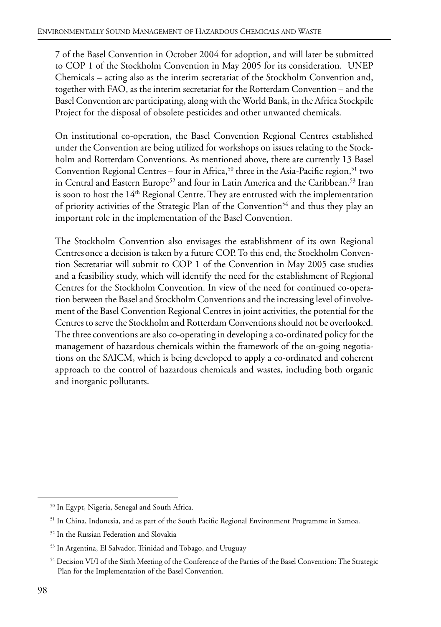7 of the Basel Convention in October 2004 for adoption, and will later be submitted to COP 1 of the Stockholm Convention in May 2005 for its consideration. UNEP Chemicals – acting also as the interim secretariat of the Stockholm Convention and, together with FAO, as the interim secretariat for the Rotterdam Convention – and the Basel Convention are participating, along with the World Bank, in the Africa Stockpile Project for the disposal of obsolete pesticides and other unwanted chemicals.

On institutional co-operation, the Basel Convention Regional Centres established under the Convention are being utilized for workshops on issues relating to the Stockholm and Rotterdam Conventions. As mentioned above, there are currently 13 Basel Convention Regional Centres – four in Africa,  $50$  three in the Asia-Pacific region,  $51$  two in Central and Eastern Europe<sup>52</sup> and four in Latin America and the Caribbean.<sup>53</sup> Iran is soon to host the 14<sup>th</sup> Regional Centre. They are entrusted with the implementation of priority activities of the Strategic Plan of the Convention<sup>54</sup> and thus they play an important role in the implementation of the Basel Convention.

The Stockholm Convention also envisages the establishment of its own Regional Centresonce a decision is taken by a future COP. To this end, the Stockholm Convention Secretariat will submit to COP 1 of the Convention in May 2005 case studies and a feasibility study, which will identify the need for the establishment of Regional Centres for the Stockholm Convention. In view of the need for continued co-operation between the Basel and Stockholm Conventions and the increasing level of involvement of the Basel Convention Regional Centres in joint activities, the potential for the Centres to serve the Stockholm and Rotterdam Conventions should not be overlooked. The three conventions are also co-operating in developing a co-ordinated policy for the management of hazardous chemicals within the framework of the on-going negotiations on the SAICM, which is being developed to apply a co-ordinated and coherent approach to the control of hazardous chemicals and wastes, including both organic and inorganic pollutants.

<sup>50</sup> In Egypt, Nigeria, Senegal and South Africa.

<sup>&</sup>lt;sup>51</sup> In China, Indonesia, and as part of the South Pacific Regional Environment Programme in Samoa.

<sup>52</sup> In the Russian Federation and Slovakia

<sup>53</sup> In Argentina, El Salvador, Trinidad and Tobago, and Uruguay

<sup>54</sup> Decision VI/I of the Sixth Meeting of the Conference of the Parties of the Basel Convention: The Strategic Plan for the Implementation of the Basel Convention.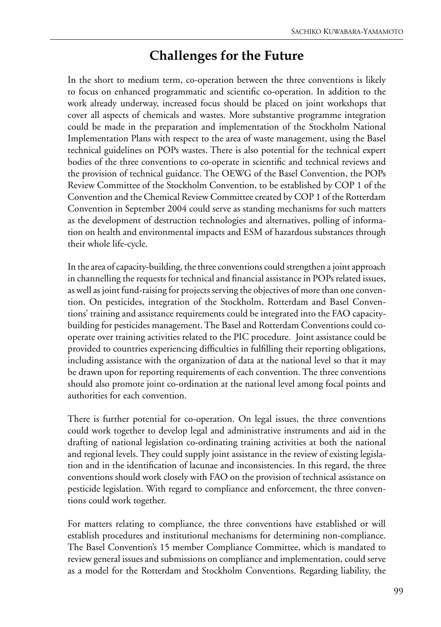## **Challenges for the Future**

In the short to medium term, co-operation between the three conventions is likely to focus on enhanced programmatic and scientific co-operation. In addition to the work already underway, increased focus should be placed on joint workshops that cover all aspects of chemicals and wastes. More substantive programme integration could be made in the preparation and implementation of the Stockholm National Implementation Plans with respect to the area of waste management, using the Basel technical guidelines on POPs wastes. There is also potential for the technical expert bodies of the three conventions to co-operate in scientific and technical reviews and the provision of technical guidance. The OEWG of the Basel Convention, the POPs Review Committee of the Stockholm Convention, to be established by COP 1 of the Convention and the Chemical Review Committee created by COP 1 of the Rotterdam Convention in September 2004 could serve as standing mechanisms for such matters as the development of destruction technologies and alternatives, polling of information on health and environmental impacts and ESM of hazardous substances through their whole life-cycle.

In the area of capacity-building, the three conventions could strengthen a joint approach in channelling the requests for technical and financial assistance in POPs related issues, as well as joint fund-raising for projects serving the objectives of more than one convention. On pesticides, integration of the Stockholm, Rotterdam and Basel Conventions' training and assistance requirements could be integrated into the FAO capacitybuilding for pesticides management. The Basel and Rotterdam Conventions could cooperate over training activities related to the PIC procedure. Joint assistance could be provided to countries experiencing difficulties in fulfilling their reporting obligations, including assistance with the organization of data at the national level so that it may be drawn upon for reporting requirements of each convention. The three conventions should also promote joint co-ordination at the national level among focal points and authorities for each convention.

There is further potential for co-operation. On legal issues, the three conventions could work together to develop legal and administrative instruments and aid in the drafting of national legislation co-ordinating training activities at both the national and regional levels. They could supply joint assistance in the review of existing legislation and in the identification of lacunae and inconsistencies. In this regard, the three conventions should work closely with FAO on the provision of technical assistance on pesticide legislation. With regard to compliance and enforcement, the three conventions could work together.

For matters relating to compliance, the three conventions have established or will establish procedures and institutional mechanisms for determining non-compliance. The Basel Convention's 15 member Compliance Committee, which is mandated to review general issues and submissions on compliance and implementation, could serve as a model for the Rotterdam and Stockholm Conventions. Regarding liability, the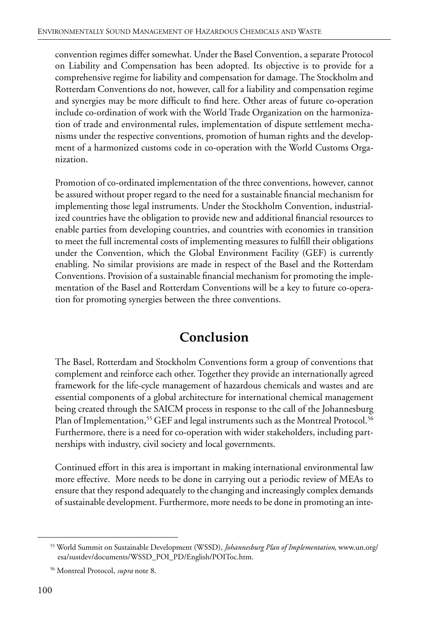convention regimes differ somewhat. Under the Basel Convention, a separate Protocol on Liability and Compensation has been adopted. Its objective is to provide for a comprehensive regime for liability and compensation for damage. The Stockholm and Rotterdam Conventions do not, however, call for a liability and compensation regime and synergies may be more difficult to find here. Other areas of future co-operation include co-ordination of work with the World Trade Organization on the harmonization of trade and environmental rules, implementation of dispute settlement mechanisms under the respective conventions, promotion of human rights and the development of a harmonized customs code in co-operation with the World Customs Organization.

Promotion of co-ordinated implementation of the three conventions, however, cannot be assured without proper regard to the need for a sustainable financial mechanism for implementing those legal instruments. Under the Stockholm Convention, industrialized countries have the obligation to provide new and additional financial resources to enable parties from developing countries, and countries with economies in transition to meet the full incremental costs of implementing measures to fulfill their obligations under the Convention, which the Global Environment Facility (GEF) is currently enabling. No similar provisions are made in respect of the Basel and the Rotterdam Conventions. Provision of a sustainable financial mechanism for promoting the implementation of the Basel and Rotterdam Conventions will be a key to future co-operation for promoting synergies between the three conventions.

# **Conclusion**

The Basel, Rotterdam and Stockholm Conventions form a group of conventions that complement and reinforce each other. Together they provide an internationally agreed framework for the life-cycle management of hazardous chemicals and wastes and are essential components of a global architecture for international chemical management being created through the SAICM process in response to the call of the Johannesburg Plan of Implementation,<sup>55</sup> GEF and legal instruments such as the Montreal Protocol.<sup>56</sup> Furthermore, there is a need for co-operation with wider stakeholders, including partnerships with industry, civil society and local governments.

Continued effort in this area is important in making international environmental law more effective. More needs to be done in carrying out a periodic review of MEAs to ensure that they respond adequately to the changing and increasingly complex demands of sustainable development. Furthermore, more needs to be done in promoting an inte-

<sup>55</sup> World Summit on Sustainable Development (WSSD), *Johannesburg Plan of Implementation*, www.un.org/ esa/sustdev/documents/WSSD\_POI\_PD/English/POIToc.htm.

<sup>56</sup> Montreal Protocol, *supra* note 8.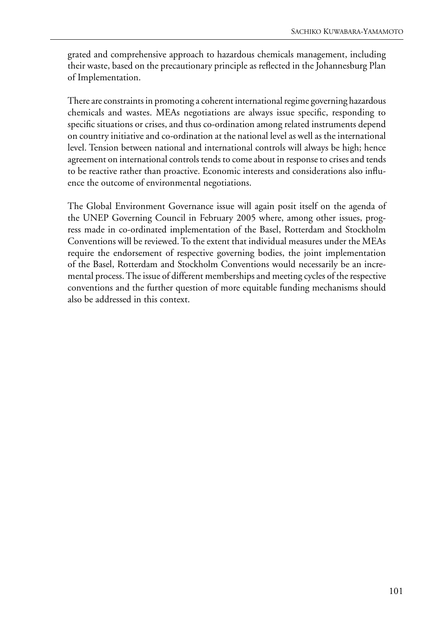grated and comprehensive approach to hazardous chemicals management, including their waste, based on the precautionary principle as reflected in the Johannesburg Plan of Implementation.

There are constraints in promoting a coherent international regime governing hazardous chemicals and wastes. MEAs negotiations are always issue specific, responding to specific situations or crises, and thus co-ordination among related instruments depend on country initiative and co-ordination at the national level as well as the international level. Tension between national and international controls will always be high; hence agreement on international controls tends to come about in response to crises and tends to be reactive rather than proactive. Economic interests and considerations also influence the outcome of environmental negotiations.

The Global Environment Governance issue will again posit itself on the agenda of the UNEP Governing Council in February 2005 where, among other issues, progress made in co-ordinated implementation of the Basel, Rotterdam and Stockholm Conventions will be reviewed. To the extent that individual measures under the MEAs require the endorsement of respective governing bodies, the joint implementation of the Basel, Rotterdam and Stockholm Conventions would necessarily be an incremental process. The issue of different memberships and meeting cycles of the respective conventions and the further question of more equitable funding mechanisms should also be addressed in this context.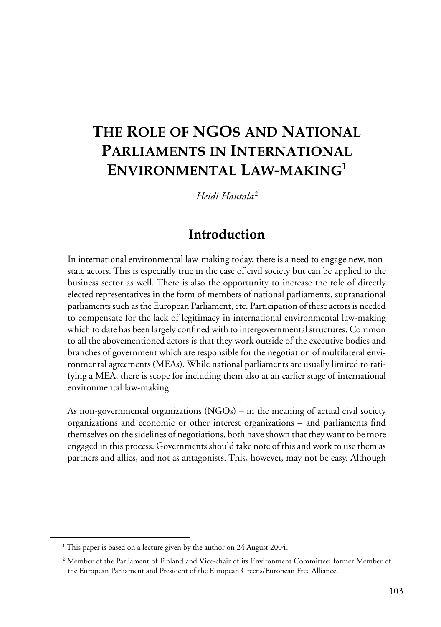# **THE ROLE OF NGOS AND NATIONAL PARLIAMENTS IN INTERNATIONAL ENVIRONMENTAL LAW-MAKING1**

*Heidi Hautala* <sup>2</sup>

## **Introduction**

In international environmental law-making today, there is a need to engage new, nonstate actors. This is especially true in the case of civil society but can be applied to the business sector as well. There is also the opportunity to increase the role of directly elected representatives in the form of members of national parliaments, supranational parliaments such as the European Parliament, etc. Participation of these actors is needed to compensate for the lack of legitimacy in international environmental law-making which to date has been largely confined with to intergovernmental structures. Common to all the abovementioned actors is that they work outside of the executive bodies and branches of government which are responsible for the negotiation of multilateral environmental agreements (MEAs). While national parliaments are usually limited to ratifying a MEA, there is scope for including them also at an earlier stage of international environmental law-making.

As non-governmental organizations (NGOs) – in the meaning of actual civil society organizations and economic or other interest organizations – and parliaments find themselves on the sidelines of negotiations, both have shown that they want to be more engaged in this process. Governments should take note of this and work to use them as partners and allies, and not as antagonists. This, however, may not be easy. Although

<sup>&</sup>lt;sup>1</sup> This paper is based on a lecture given by the author on 24 August 2004.

<sup>2</sup> Member of the Parliament of Finland and Vice-chair of its Environment Committee; former Member of the European Parliament and President of the European Greens/European Free Alliance.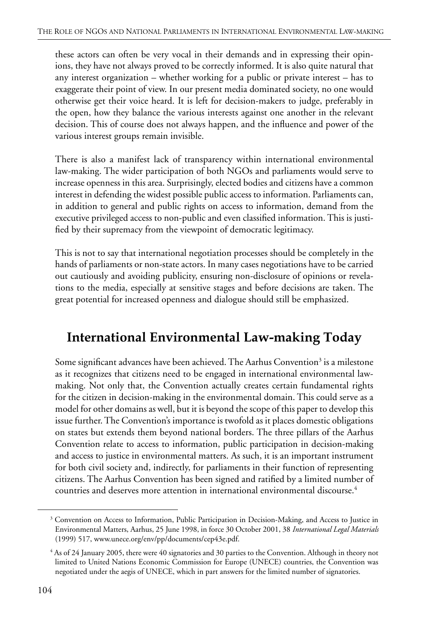these actors can often be very vocal in their demands and in expressing their opinions, they have not always proved to be correctly informed. It is also quite natural that any interest organization – whether working for a public or private interest – has to exaggerate their point of view. In our present media dominated society, no one would otherwise get their voice heard. It is left for decision-makers to judge, preferably in the open, how they balance the various interests against one another in the relevant decision. This of course does not always happen, and the influence and power of the various interest groups remain invisible.

There is also a manifest lack of transparency within international environmental law-making. The wider participation of both NGOs and parliaments would serve to increase openness in this area. Surprisingly, elected bodies and citizens have a common interest in defending the widest possible public access to information. Parliaments can, in addition to general and public rights on access to information, demand from the executive privileged access to non-public and even classified information. This is justified by their supremacy from the viewpoint of democratic legitimacy.

This is not to say that international negotiation processes should be completely in the hands of parliaments or non-state actors. In many cases negotiations have to be carried out cautiously and avoiding publicity, ensuring non-disclosure of opinions or revelations to the media, especially at sensitive stages and before decisions are taken. The great potential for increased openness and dialogue should still be emphasized.

# **International Environmental Law-making Today**

Some significant advances have been achieved. The Aarhus Convention<sup>3</sup> is a milestone as it recognizes that citizens need to be engaged in international environmental lawmaking. Not only that, the Convention actually creates certain fundamental rights for the citizen in decision-making in the environmental domain. This could serve as a model for other domains as well, but it is beyond the scope of this paper to develop this issue further. The Convention's importance is twofold as it places domestic obligations on states but extends them beyond national borders. The three pillars of the Aarhus Convention relate to access to information, public participation in decision-making and access to justice in environmental matters. As such, it is an important instrument for both civil society and, indirectly, for parliaments in their function of representing citizens. The Aarhus Convention has been signed and ratified by a limited number of countries and deserves more attention in international environmental discourse.<sup>4</sup>

<sup>&</sup>lt;sup>3</sup> Convention on Access to Information, Public Participation in Decision-Making, and Access to Justice in Environmental Matters, Aarhus, 25 June 1998, in force 30 October 2001, 38 *International Legal Materials* (1999) 517, www.unece.org/env/pp/documents/cep43e.pdf.

<sup>4</sup> As of 24 January 2005, there were 40 signatories and 30 parties to the Convention. Although in theory not limited to United Nations Economic Commission for Europe (UNECE) countries, the Convention was negotiated under the aegis of UNECE, which in part answers for the limited number of signatories.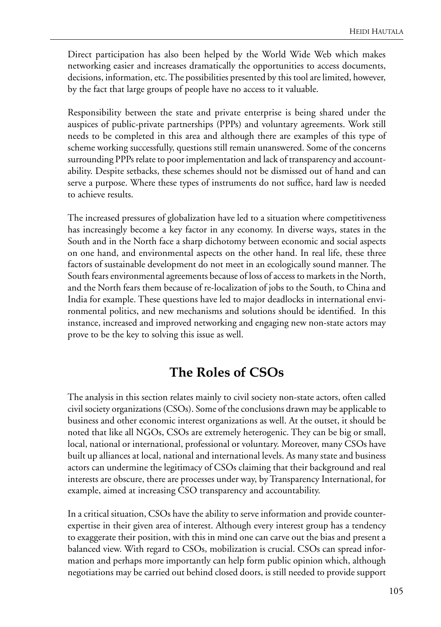Direct participation has also been helped by the World Wide Web which makes networking easier and increases dramatically the opportunities to access documents, decisions, information, etc. The possibilities presented by this tool are limited, however, by the fact that large groups of people have no access to it valuable.

Responsibility between the state and private enterprise is being shared under the auspices of public-private partnerships (PPPs) and voluntary agreements. Work still needs to be completed in this area and although there are examples of this type of scheme working successfully, questions still remain unanswered. Some of the concerns surrounding PPPs relate to poor implementation and lack of transparency and accountability. Despite setbacks, these schemes should not be dismissed out of hand and can serve a purpose. Where these types of instruments do not suffice, hard law is needed to achieve results.

The increased pressures of globalization have led to a situation where competitiveness has increasingly become a key factor in any economy. In diverse ways, states in the South and in the North face a sharp dichotomy between economic and social aspects on one hand, and environmental aspects on the other hand. In real life, these three factors of sustainable development do not meet in an ecologically sound manner. The South fears environmental agreements because of loss of access to markets in the North, and the North fears them because of re-localization of jobs to the South, to China and India for example. These questions have led to major deadlocks in international environmental politics, and new mechanisms and solutions should be identified. In this instance, increased and improved networking and engaging new non-state actors may prove to be the key to solving this issue as well.

## **The Roles of CSOs**

The analysis in this section relates mainly to civil society non-state actors, often called civil society organizations (CSOs). Some of the conclusions drawn may be applicable to business and other economic interest organizations as well. At the outset, it should be noted that like all NGOs, CSOs are extremely heterogenic. They can be big or small, local, national or international, professional or voluntary. Moreover, many CSOs have built up alliances at local, national and international levels. As many state and business actors can undermine the legitimacy of CSOs claiming that their background and real interests are obscure, there are processes under way, by Transparency International, for example, aimed at increasing CSO transparency and accountability.

In a critical situation, CSOs have the ability to serve information and provide counterexpertise in their given area of interest. Although every interest group has a tendency to exaggerate their position, with this in mind one can carve out the bias and present a balanced view. With regard to CSOs, mobilization is crucial. CSOs can spread information and perhaps more importantly can help form public opinion which, although negotiations may be carried out behind closed doors, is still needed to provide support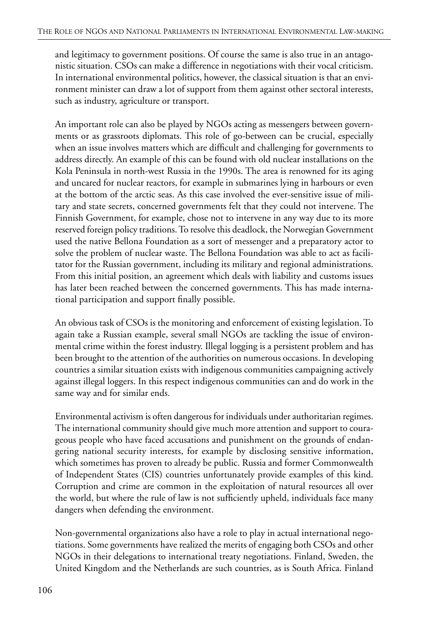and legitimacy to government positions. Of course the same is also true in an antagonistic situation. CSOs can make a difference in negotiations with their vocal criticism. In international environmental politics, however, the classical situation is that an environment minister can draw a lot of support from them against other sectoral interests, such as industry, agriculture or transport.

An important role can also be played by NGOs acting as messengers between governments or as grassroots diplomats. This role of go-between can be crucial, especially when an issue involves matters which are difficult and challenging for governments to address directly. An example of this can be found with old nuclear installations on the Kola Peninsula in north-west Russia in the 1990s. The area is renowned for its aging and uncared for nuclear reactors, for example in submarines lying in harbours or even at the bottom of the arctic seas. As this case involved the ever-sensitive issue of military and state secrets, concerned governments felt that they could not intervene. The Finnish Government, for example, chose not to intervene in any way due to its more reserved foreign policy traditions. To resolve this deadlock, the Norwegian Government used the native Bellona Foundation as a sort of messenger and a preparatory actor to solve the problem of nuclear waste. The Bellona Foundation was able to act as facilitator for the Russian government, including its military and regional administrations. From this initial position, an agreement which deals with liability and customs issues has later been reached between the concerned governments. This has made international participation and support finally possible.

An obvious task of CSOs is the monitoring and enforcement of existing legislation. To again take a Russian example, several small NGOs are tackling the issue of environmental crime within the forest industry. Illegal logging is a persistent problem and has been brought to the attention of the authorities on numerous occasions. In developing countries a similar situation exists with indigenous communities campaigning actively against illegal loggers. In this respect indigenous communities can and do work in the same way and for similar ends.

Environmental activism is often dangerous for individuals under authoritarian regimes. The international community should give much more attention and support to courageous people who have faced accusations and punishment on the grounds of endangering national security interests, for example by disclosing sensitive information, which sometimes has proven to already be public. Russia and former Commonwealth of Independent States (CIS) countries unfortunately provide examples of this kind. Corruption and crime are common in the exploitation of natural resources all over the world, but where the rule of law is not sufficiently upheld, individuals face many dangers when defending the environment.

Non-governmental organizations also have a role to play in actual international negotiations. Some governments have realized the merits of engaging both CSOs and other NGOs in their delegations to international treaty negotiations. Finland, Sweden, the United Kingdom and the Netherlands are such countries, as is South Africa. Finland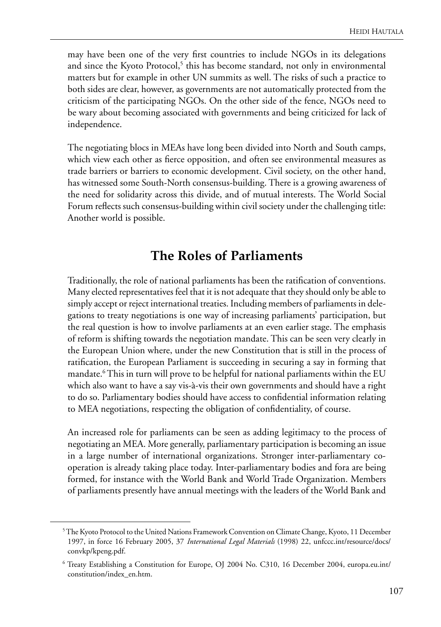may have been one of the very first countries to include NGOs in its delegations and since the Kyoto Protocol,<sup>5</sup> this has become standard, not only in environmental matters but for example in other UN summits as well. The risks of such a practice to both sides are clear, however, as governments are not automatically protected from the criticism of the participating NGOs. On the other side of the fence, NGOs need to be wary about becoming associated with governments and being criticized for lack of independence.

The negotiating blocs in MEAs have long been divided into North and South camps, which view each other as fierce opposition, and often see environmental measures as trade barriers or barriers to economic development. Civil society, on the other hand, has witnessed some South-North consensus-building. There is a growing awareness of the need for solidarity across this divide, and of mutual interests. The World Social Forum reflects such consensus-building within civil society under the challenging title: Another world is possible.

## **The Roles of Parliaments**

Traditionally, the role of national parliaments has been the ratification of conventions. Many elected representatives feel that it is not adequate that they should only be able to simply accept or reject international treaties. Including members of parliaments in delegations to treaty negotiations is one way of increasing parliaments' participation, but the real question is how to involve parliaments at an even earlier stage. The emphasis of reform is shifting towards the negotiation mandate. This can be seen very clearly in the European Union where, under the new Constitution that is still in the process of ratification, the European Parliament is succeeding in securing a say in forming that mandate.6 This in turn will prove to be helpful for national parliaments within the EU which also want to have a say vis-à-vis their own governments and should have a right to do so. Parliamentary bodies should have access to confidential information relating to MEA negotiations, respecting the obligation of confidentiality, of course.

An increased role for parliaments can be seen as adding legitimacy to the process of negotiating an MEA. More generally, parliamentary participation is becoming an issue in a large number of international organizations. Stronger inter-parliamentary cooperation is already taking place today. Inter-parliamentary bodies and fora are being formed, for instance with the World Bank and World Trade Organization. Members of parliaments presently have annual meetings with the leaders of the World Bank and

<sup>5</sup> The Kyoto Protocol to the United Nations Framework Convention on Climate Change, Kyoto, 11 December 1997, in force 16 February 2005, 37 *International Legal Materials* (1998) 22, unfccc.int/resource/docs/ convkp/kpeng.pdf.

<sup>6</sup> Treaty Establishing a Constitution for Europe, OJ 2004 No. C310, 16 December 2004, europa.eu.int/ constitution/index\_en.htm.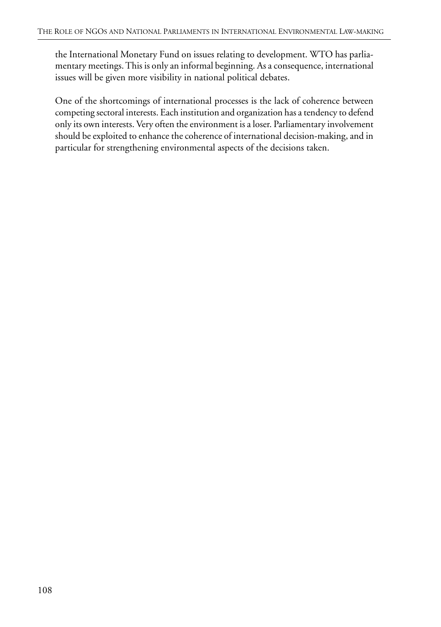the International Monetary Fund on issues relating to development. WTO has parliamentary meetings. This is only an informal beginning. As a consequence, international issues will be given more visibility in national political debates.

One of the shortcomings of international processes is the lack of coherence between competing sectoral interests. Each institution and organization has a tendency to defend only its own interests. Very often the environment is a loser. Parliamentary involvement should be exploited to enhance the coherence of international decision-making, and in particular for strengthening environmental aspects of the decisions taken.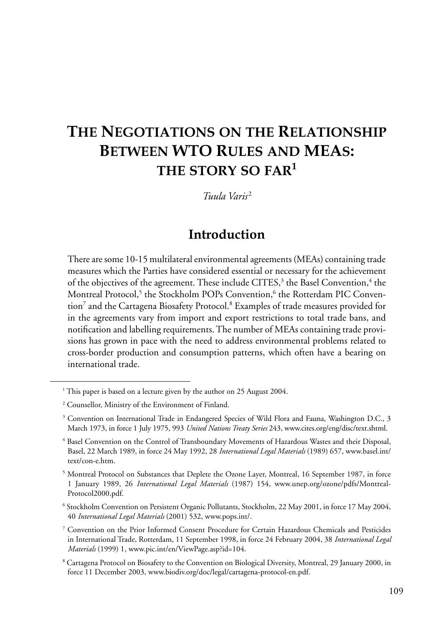# **THE NEGOTIATIONS ON THE RELATIONSHIP BETWEEN WTO RULES AND MEAS: THE STORY SO FAR<sup>1</sup>**

*Tuula Varis* <sup>2</sup>

## **Introduction**

There are some 10-15 multilateral environmental agreements (MEAs) containing trade measures which the Parties have considered essential or necessary for the achievement of the objectives of the agreement. These include CITES,<sup>3</sup> the Basel Convention,<sup>4</sup> the Montreal Protocol,<sup>5</sup> the Stockholm POPs Convention,<sup>6</sup> the Rotterdam PIC Convention<sup>7</sup> and the Cartagena Biosafety Protocol.<sup>8</sup> Examples of trade measures provided for in the agreements vary from import and export restrictions to total trade bans, and notification and labelling requirements. The number of MEAs containing trade provisions has grown in pace with the need to address environmental problems related to cross-border production and consumption patterns, which often have a bearing on international trade.

<sup>&</sup>lt;sup>1</sup> This paper is based on a lecture given by the author on 25 August 2004.

<sup>2</sup> Counsellor, Ministry of the Environment of Finland.

<sup>3</sup> Convention on International Trade in Endangered Species of Wild Flora and Fauna, Washington D.C., 3 March 1973, in force 1 July 1975, 993 *United Nations Treaty Series* 243, www.cites.org/eng/disc/text.shtml.

<sup>4</sup> Basel Convention on the Control of Transboundary Movements of Hazardous Wastes and their Disposal, Basel, 22 March 1989, in force 24 May 1992, 28 *International Legal Materials* (1989) 657, www.basel.int/ text/con-e.htm.

<sup>&</sup>lt;sup>5</sup> Montreal Protocol on Substances that Deplete the Ozone Layer, Montreal, 16 September 1987, in force 1 January 1989, 26 *International Legal Materials* (1987) 154, www.unep.org/ozone/pdfs/Montreal-Protocol2000.pdf.

<sup>6</sup> Stockholm Convention on Persistent Organic Pollutants, Stockholm, 22 May 2001, in force 17 May 2004, 40 *International Legal Materials* (2001) 532, www.pops.int/.

<sup>7</sup> Convention on the Prior Informed Consent Procedure for Certain Hazardous Chemicals and Pesticides in International Trade, Rotterdam, 11 September 1998, in force 24 February 2004, 38 *International Legal Materials* (1999) 1, www.pic.int/en/ViewPage.asp?id=104.

<sup>&</sup>lt;sup>8</sup> Cartagena Protocol on Biosafety to the Convention on Biological Diversity, Montreal, 29 January 2000, in force 11 December 2003, www.biodiv.org/doc/legal/cartagena-protocol-en.pdf.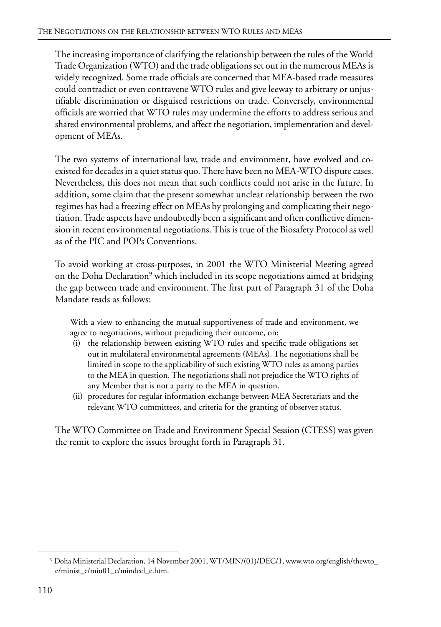The increasing importance of clarifying the relationship between the rules of the World Trade Organization (WTO) and the trade obligations set out in the numerous MEAs is widely recognized. Some trade officials are concerned that MEA-based trade measures could contradict or even contravene WTO rules and give leeway to arbitrary or unjustifiable discrimination or disguised restrictions on trade. Conversely, environmental officials are worried that WTO rules may undermine the efforts to address serious and shared environmental problems, and affect the negotiation, implementation and development of MEAs.

The two systems of international law, trade and environment, have evolved and coexisted for decades in a quiet status quo. There have been no MEA-WTO dispute cases. Nevertheless, this does not mean that such conflicts could not arise in the future. In addition, some claim that the present somewhat unclear relationship between the two regimes has had a freezing effect on MEAs by prolonging and complicating their negotiation. Trade aspects have undoubtedly been a significant and often conflictive dimension in recent environmental negotiations. This is true of the Biosafety Protocol as well as of the PIC and POPs Conventions.

To avoid working at cross-purposes, in 2001 the WTO Ministerial Meeting agreed on the Doha Declaration<sup>9</sup> which included in its scope negotiations aimed at bridging the gap between trade and environment. The first part of Paragraph 31 of the Doha Mandate reads as follows:

With a view to enhancing the mutual supportiveness of trade and environment, we agree to negotiations, without prejudicing their outcome, on:

- (i) the relationship between existing WTO rules and specific trade obligations set out in multilateral environmental agreements (MEAs). The negotiations shall be limited in scope to the applicability of such existing WTO rules as among parties to the MEA in question. The negotiations shall not prejudice the WTO rights of any Member that is not a party to the MEA in question.
- (ii) procedures for regular information exchange between MEA Secretariats and the relevant WTO committees, and criteria for the granting of observer status.

The WTO Committee on Trade and Environment Special Session (CTESS) was given the remit to explore the issues brought forth in Paragraph 31.

<sup>9</sup> Doha Ministerial Declaration, 14 November 2001, WT/MIN/(01)/DEC/1, www.wto.org/english/thewto\_ e/minist\_e/min01\_e/mindecl\_e.htm.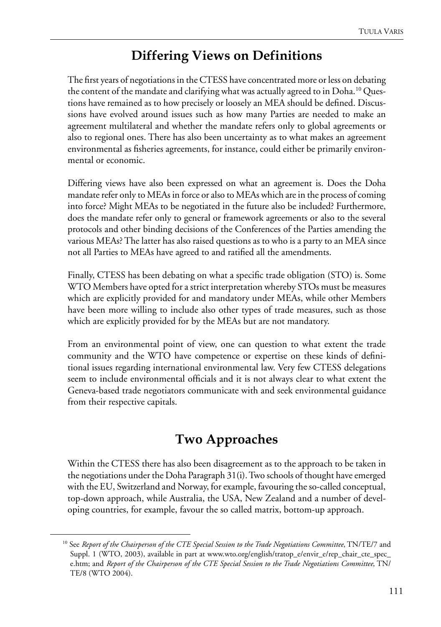## **Differing Views on Definitions**

The first years of negotiations in the CTESS have concentrated more or less on debating the content of the mandate and clarifying what was actually agreed to in Doha.<sup>10</sup> Questions have remained as to how precisely or loosely an MEA should be defined. Discussions have evolved around issues such as how many Parties are needed to make an agreement multilateral and whether the mandate refers only to global agreements or also to regional ones. There has also been uncertainty as to what makes an agreement environmental as fisheries agreements, for instance, could either be primarily environmental or economic.

Differing views have also been expressed on what an agreement is. Does the Doha mandate refer only to MEAs in force or also to MEAs which are in the process of coming into force? Might MEAs to be negotiated in the future also be included? Furthermore, does the mandate refer only to general or framework agreements or also to the several protocols and other binding decisions of the Conferences of the Parties amending the various MEAs? The latter has also raised questions as to who is a party to an MEA since not all Parties to MEAs have agreed to and ratified all the amendments.

Finally, CTESS has been debating on what a specific trade obligation (STO) is. Some WTO Members have opted for a strict interpretation whereby STOs must be measures which are explicitly provided for and mandatory under MEAs, while other Members have been more willing to include also other types of trade measures, such as those which are explicitly provided for by the MEAs but are not mandatory.

From an environmental point of view, one can question to what extent the trade community and the WTO have competence or expertise on these kinds of definitional issues regarding international environmental law. Very few CTESS delegations seem to include environmental officials and it is not always clear to what extent the Geneva-based trade negotiators communicate with and seek environmental guidance from their respective capitals.

# **Two Approaches**

Within the CTESS there has also been disagreement as to the approach to be taken in the negotiations under the Doha Paragraph 31(i). Two schools of thought have emerged with the EU, Switzerland and Norway, for example, favouring the so-called conceptual, top-down approach, while Australia, the USA, New Zealand and a number of developing countries, for example, favour the so called matrix, bottom-up approach.

<sup>10</sup> See *Report of the Chairperson of the CTE Special Session to the Trade Negotiations Committee*, TN/TE/7 and Suppl. 1 (WTO, 2003), available in part at www.wto.org/english/tratop\_e/envir\_e/rep\_chair\_cte\_spec\_ e.htm; and *Report of the Chairperson of the CTE Special Session to the Trade Negotiations Committee*, TN/ TE/8 (WTO 2004).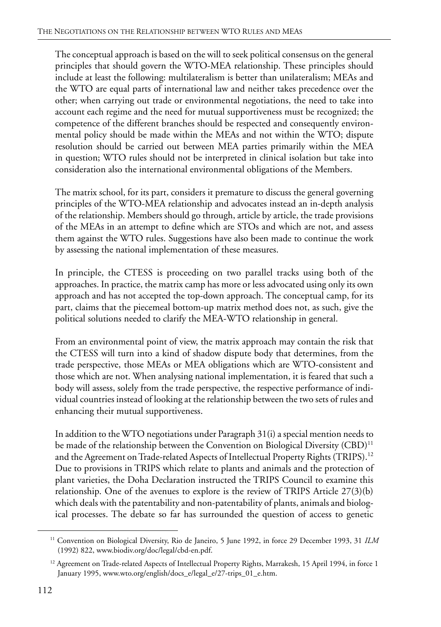The conceptual approach is based on the will to seek political consensus on the general principles that should govern the WTO-MEA relationship. These principles should include at least the following: multilateralism is better than unilateralism; MEAs and the WTO are equal parts of international law and neither takes precedence over the other; when carrying out trade or environmental negotiations, the need to take into account each regime and the need for mutual supportiveness must be recognized; the competence of the different branches should be respected and consequently environmental policy should be made within the MEAs and not within the WTO; dispute resolution should be carried out between MEA parties primarily within the MEA in question; WTO rules should not be interpreted in clinical isolation but take into consideration also the international environmental obligations of the Members.

The matrix school, for its part, considers it premature to discuss the general governing principles of the WTO-MEA relationship and advocates instead an in-depth analysis of the relationship. Members should go through, article by article, the trade provisions of the MEAs in an attempt to define which are STOs and which are not, and assess them against the WTO rules. Suggestions have also been made to continue the work by assessing the national implementation of these measures.

In principle, the CTESS is proceeding on two parallel tracks using both of the approaches. In practice, the matrix camp has more or less advocated using only its own approach and has not accepted the top-down approach. The conceptual camp, for its part, claims that the piecemeal bottom-up matrix method does not, as such, give the political solutions needed to clarify the MEA-WTO relationship in general.

From an environmental point of view, the matrix approach may contain the risk that the CTESS will turn into a kind of shadow dispute body that determines, from the trade perspective, those MEAs or MEA obligations which are WTO-consistent and those which are not. When analysing national implementation, it is feared that such a body will assess, solely from the trade perspective, the respective performance of individual countries instead of looking at the relationship between the two sets of rules and enhancing their mutual supportiveness.

In addition to the WTO negotiations under Paragraph 31(i) a special mention needs to be made of the relationship between the Convention on Biological Diversity (CBD)<sup>11</sup> and the Agreement on Trade-related Aspects of Intellectual Property Rights (TRIPS).<sup>12</sup> Due to provisions in TRIPS which relate to plants and animals and the protection of plant varieties, the Doha Declaration instructed the TRIPS Council to examine this relationship. One of the avenues to explore is the review of TRIPS Article 27(3)(b) which deals with the patentability and non-patentability of plants, animals and biological processes. The debate so far has surrounded the question of access to genetic

<sup>11</sup> Convention on Biological Diversity, Rio de Janeiro, 5 June 1992, in force 29 December 1993, 31 *ILM* (1992) 822, www.biodiv.org/doc/legal/cbd-en.pdf.

<sup>&</sup>lt;sup>12</sup> Agreement on Trade-related Aspects of Intellectual Property Rights, Marrakesh, 15 April 1994, in force 1 January 1995, www.wto.org/english/docs\_e/legal\_e/27-trips\_01\_e.htm.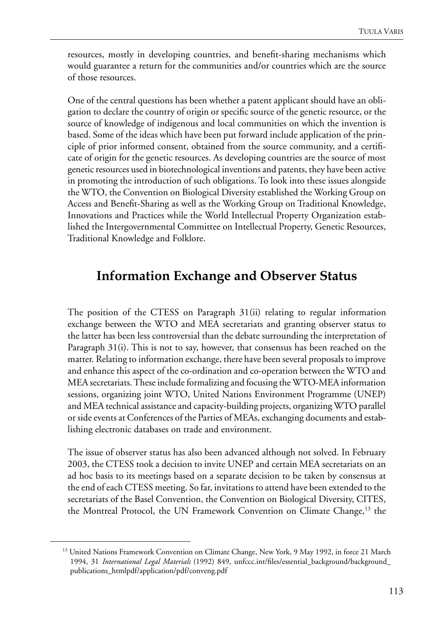resources, mostly in developing countries, and benefit-sharing mechanisms which would guarantee a return for the communities and/or countries which are the source of those resources.

One of the central questions has been whether a patent applicant should have an obligation to declare the country of origin or specific source of the genetic resource, or the source of knowledge of indigenous and local communities on which the invention is based. Some of the ideas which have been put forward include application of the principle of prior informed consent, obtained from the source community, and a certificate of origin for the genetic resources. As developing countries are the source of most genetic resources used in biotechnological inventions and patents, they have been active in promoting the introduction of such obligations. To look into these issues alongside the WTO, the Convention on Biological Diversity established the Working Group on Access and Benefit-Sharing as well as the Working Group on Traditional Knowledge, Innovations and Practices while the World Intellectual Property Organization established the Intergovernmental Committee on Intellectual Property, Genetic Resources, Traditional Knowledge and Folklore.

## **Information Exchange and Observer Status**

The position of the CTESS on Paragraph 31(ii) relating to regular information exchange between the WTO and MEA secretariats and granting observer status to the latter has been less controversial than the debate surrounding the interpretation of Paragraph 31(i). This is not to say, however, that consensus has been reached on the matter. Relating to information exchange, there have been several proposals to improve and enhance this aspect of the co-ordination and co-operation between the WTO and MEA secretariats. These include formalizing and focusing the WTO-MEA information sessions, organizing joint WTO, United Nations Environment Programme (UNEP) and MEA technical assistance and capacity-building projects, organizing WTO parallel or side events at Conferences of the Parties of MEAs, exchanging documents and establishing electronic databases on trade and environment.

The issue of observer status has also been advanced although not solved. In February 2003, the CTESS took a decision to invite UNEP and certain MEA secretariats on an ad hoc basis to its meetings based on a separate decision to be taken by consensus at the end of each CTESS meeting. So far, invitations to attend have been extended to the secretariats of the Basel Convention, the Convention on Biological Diversity, CITES, the Montreal Protocol, the UN Framework Convention on Climate Change,<sup>13</sup> the

<sup>&</sup>lt;sup>13</sup> United Nations Framework Convention on Climate Change, New York, 9 May 1992, in force 21 March 1994, 31 *International Legal Materials* (1992) 849, unfccc.int/files/essential\_background/background\_ publications\_htmlpdf/application/pdf/conveng.pdf